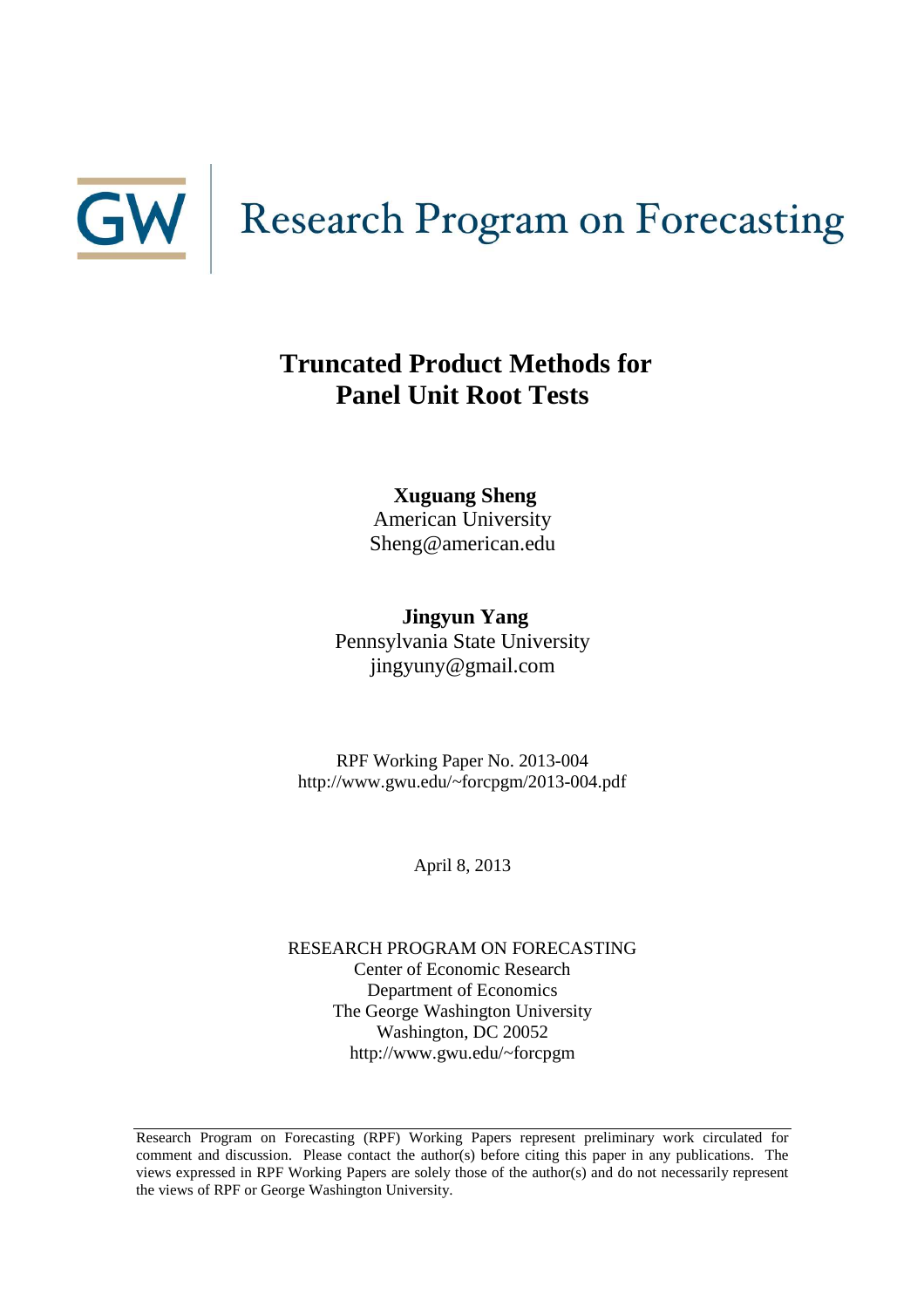

# **Truncated Product Methods for Panel Unit Root Tests**

**Xuguang Sheng** American University Sheng@american.edu

**Jingyun Yang** Pennsylvania State University jingyuny@gmail.com

RPF Working Paper No. 2013-004 http://www.gwu.edu/~forcpgm/2013-004.pdf

April 8, 2013

RESEARCH PROGRAM ON FORECASTING Center of Economic Research Department of Economics The George Washington University Washington, DC 20052 http://www.gwu.edu/~forcpgm

Research Program on Forecasting (RPF) Working Papers represent preliminary work circulated for comment and discussion. Please contact the author(s) before citing this paper in any publications. The views expressed in RPF Working Papers are solely those of the author(s) and do not necessarily represent the views of RPF or George Washington University.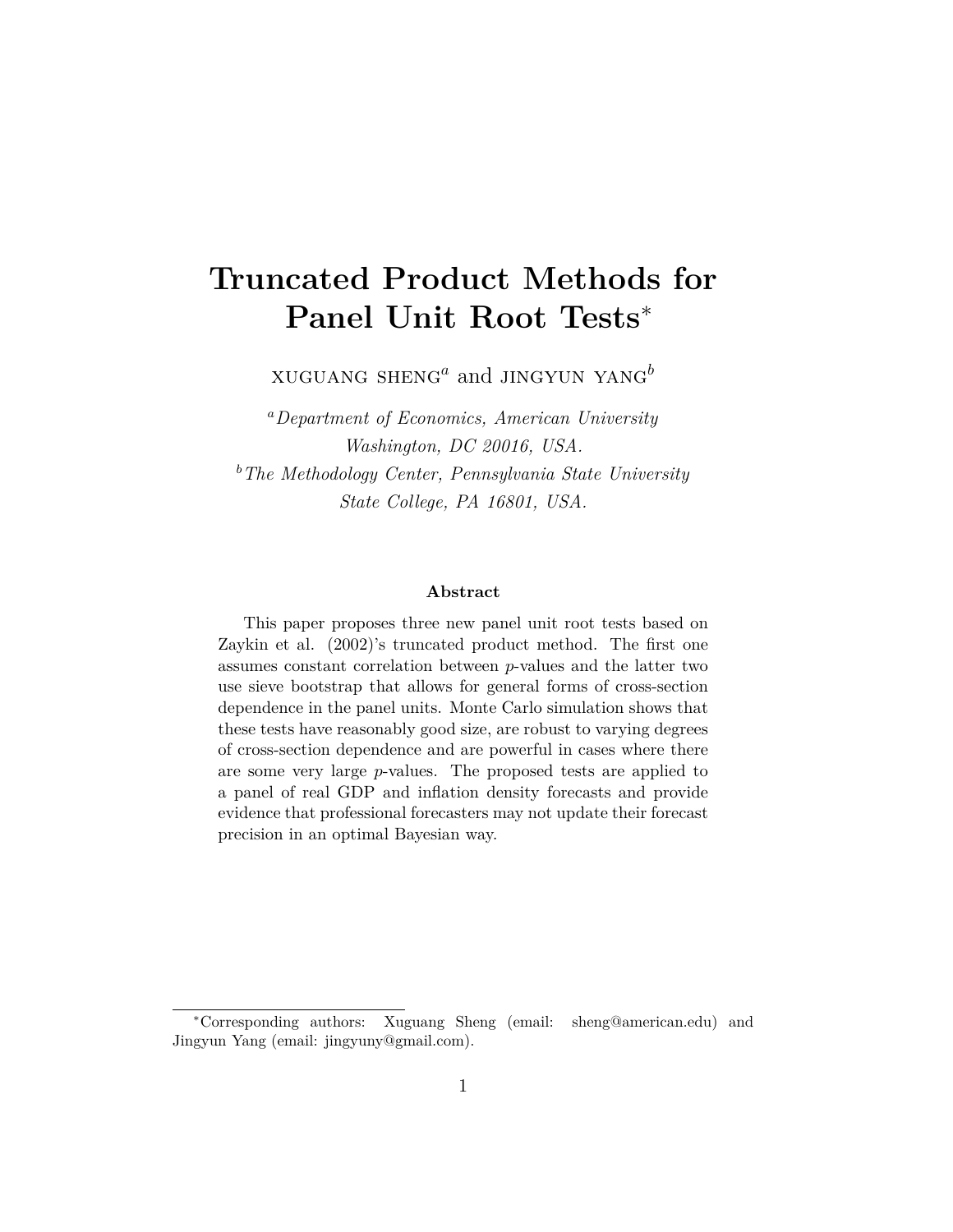# **Truncated Product Methods for Panel Unit Root Tests**<sup>∗</sup>

xuguang sheng*<sup>a</sup>* and jingyun yang*<sup>b</sup>*

*<sup>a</sup>Department of Economics, American University Washington, DC 20016, USA. <sup>b</sup>The Methodology Center, Pennsylvania State University State College, PA 16801, USA.*

#### **Abstract**

This paper proposes three new panel unit root tests based on Zaykin et al. (2002)'s truncated product method. The first one assumes constant correlation between *p*-values and the latter two use sieve bootstrap that allows for general forms of cross-section dependence in the panel units. Monte Carlo simulation shows that these tests have reasonably good size, are robust to varying degrees of cross-section dependence and are powerful in cases where there are some very large *p*-values. The proposed tests are applied to a panel of real GDP and inflation density forecasts and provide evidence that professional forecasters may not update their forecast precision in an optimal Bayesian way.

<sup>∗</sup>Corresponding authors: Xuguang Sheng (email: sheng@american.edu) and Jingyun Yang (email: jingyuny@gmail.com).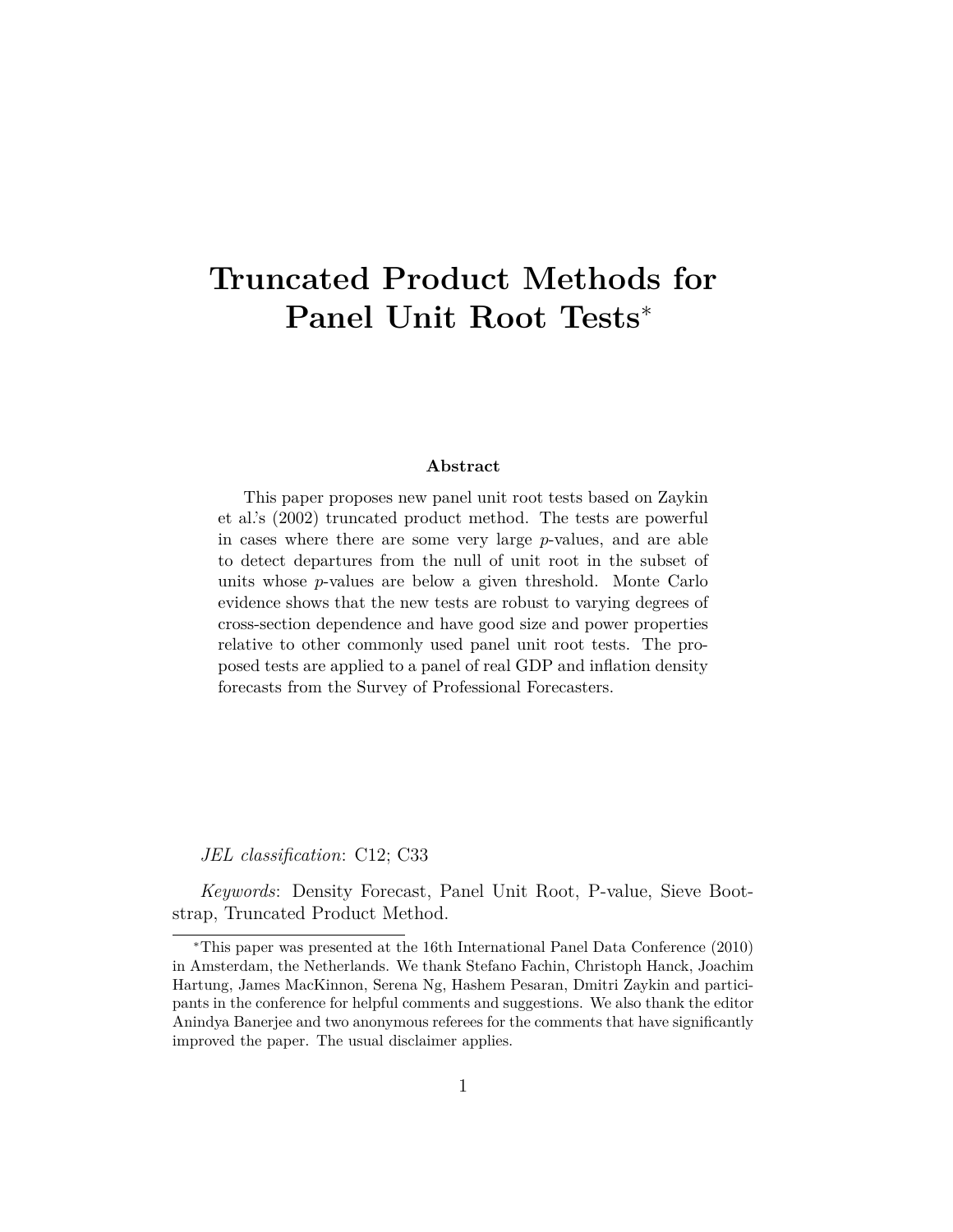# **Truncated Product Methods for Panel Unit Root Tests**<sup>∗</sup>

#### **Abstract**

This paper proposes new panel unit root tests based on Zaykin et al.'s (2002) truncated product method. The tests are powerful in cases where there are some very large *p*-values, and are able to detect departures from the null of unit root in the subset of units whose *p*-values are below a given threshold. Monte Carlo evidence shows that the new tests are robust to varying degrees of cross-section dependence and have good size and power properties relative to other commonly used panel unit root tests. The proposed tests are applied to a panel of real GDP and inflation density forecasts from the Survey of Professional Forecasters.

*JEL classification*: C12; C33

*Keywords*: Density Forecast, Panel Unit Root, P-value, Sieve Bootstrap, Truncated Product Method.

<sup>∗</sup>This paper was presented at the 16th International Panel Data Conference (2010) in Amsterdam, the Netherlands. We thank Stefano Fachin, Christoph Hanck, Joachim Hartung, James MacKinnon, Serena Ng, Hashem Pesaran, Dmitri Zaykin and participants in the conference for helpful comments and suggestions. We also thank the editor Anindya Banerjee and two anonymous referees for the comments that have significantly improved the paper. The usual disclaimer applies.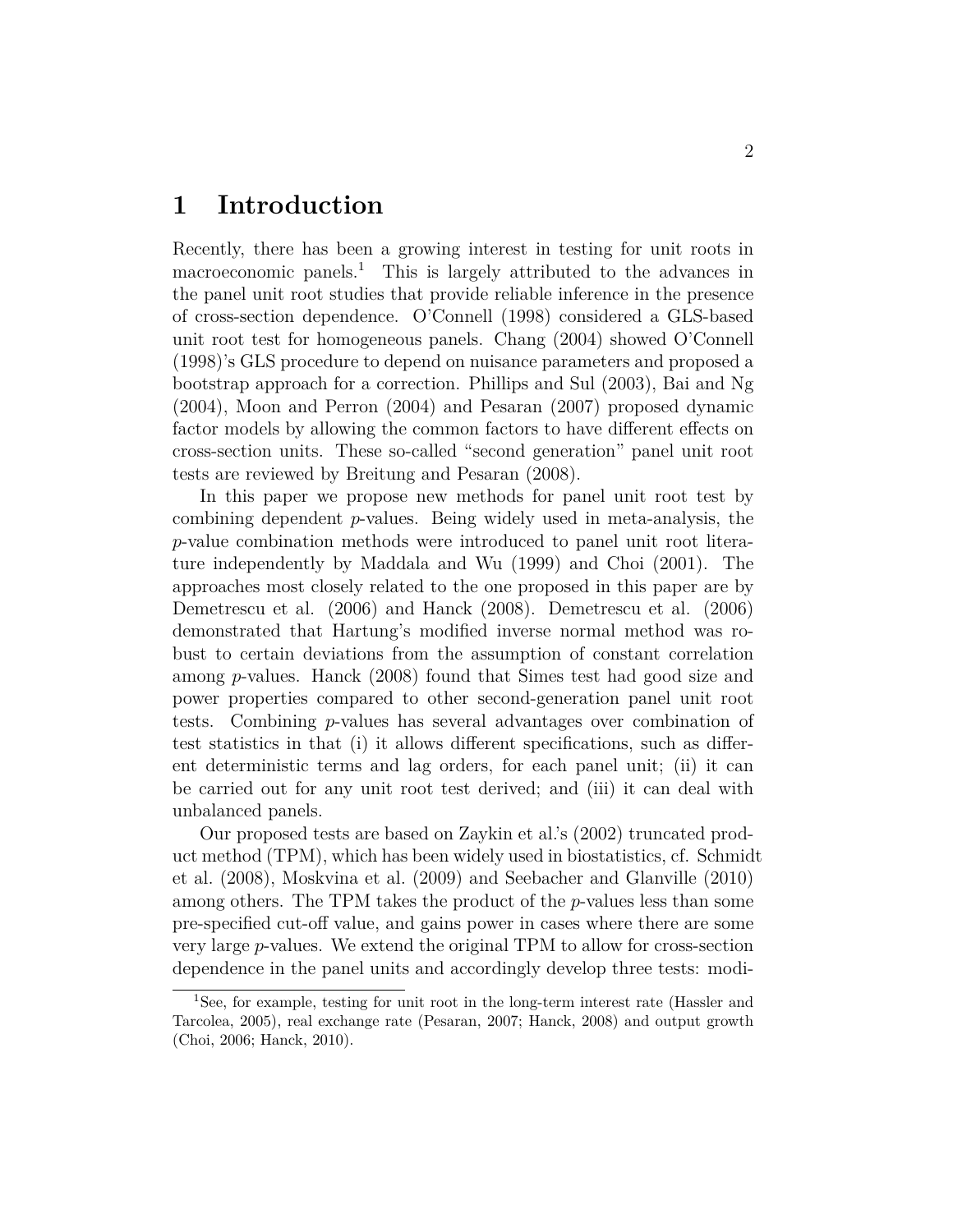## **1 Introduction**

Recently, there has been a growing interest in testing for unit roots in macroeconomic panels.<sup>1</sup> This is largely attributed to the advances in the panel unit root studies that provide reliable inference in the presence of cross-section dependence. O'Connell (1998) considered a GLS-based unit root test for homogeneous panels. Chang (2004) showed O'Connell (1998)'s GLS procedure to depend on nuisance parameters and proposed a bootstrap approach for a correction. Phillips and Sul (2003), Bai and Ng (2004), Moon and Perron (2004) and Pesaran (2007) proposed dynamic factor models by allowing the common factors to have different effects on cross-section units. These so-called "second generation" panel unit root tests are reviewed by Breitung and Pesaran (2008).

In this paper we propose new methods for panel unit root test by combining dependent *p*-values. Being widely used in meta-analysis, the *p*-value combination methods were introduced to panel unit root literature independently by Maddala and Wu (1999) and Choi (2001). The approaches most closely related to the one proposed in this paper are by Demetrescu et al. (2006) and Hanck (2008). Demetrescu et al. (2006) demonstrated that Hartung's modified inverse normal method was robust to certain deviations from the assumption of constant correlation among *p*-values. Hanck (2008) found that Simes test had good size and power properties compared to other second-generation panel unit root tests. Combining *p*-values has several advantages over combination of test statistics in that (i) it allows different specifications, such as different deterministic terms and lag orders, for each panel unit; (ii) it can be carried out for any unit root test derived; and (iii) it can deal with unbalanced panels.

Our proposed tests are based on Zaykin et al.'s (2002) truncated product method (TPM), which has been widely used in biostatistics, cf. Schmidt et al. (2008), Moskvina et al. (2009) and Seebacher and Glanville (2010) among others. The TPM takes the product of the *p*-values less than some pre-specified cut-off value, and gains power in cases where there are some very large *p*-values. We extend the original TPM to allow for cross-section dependence in the panel units and accordingly develop three tests: modi-

<sup>1</sup>See, for example, testing for unit root in the long-term interest rate (Hassler and Tarcolea, 2005), real exchange rate (Pesaran, 2007; Hanck, 2008) and output growth (Choi, 2006; Hanck, 2010).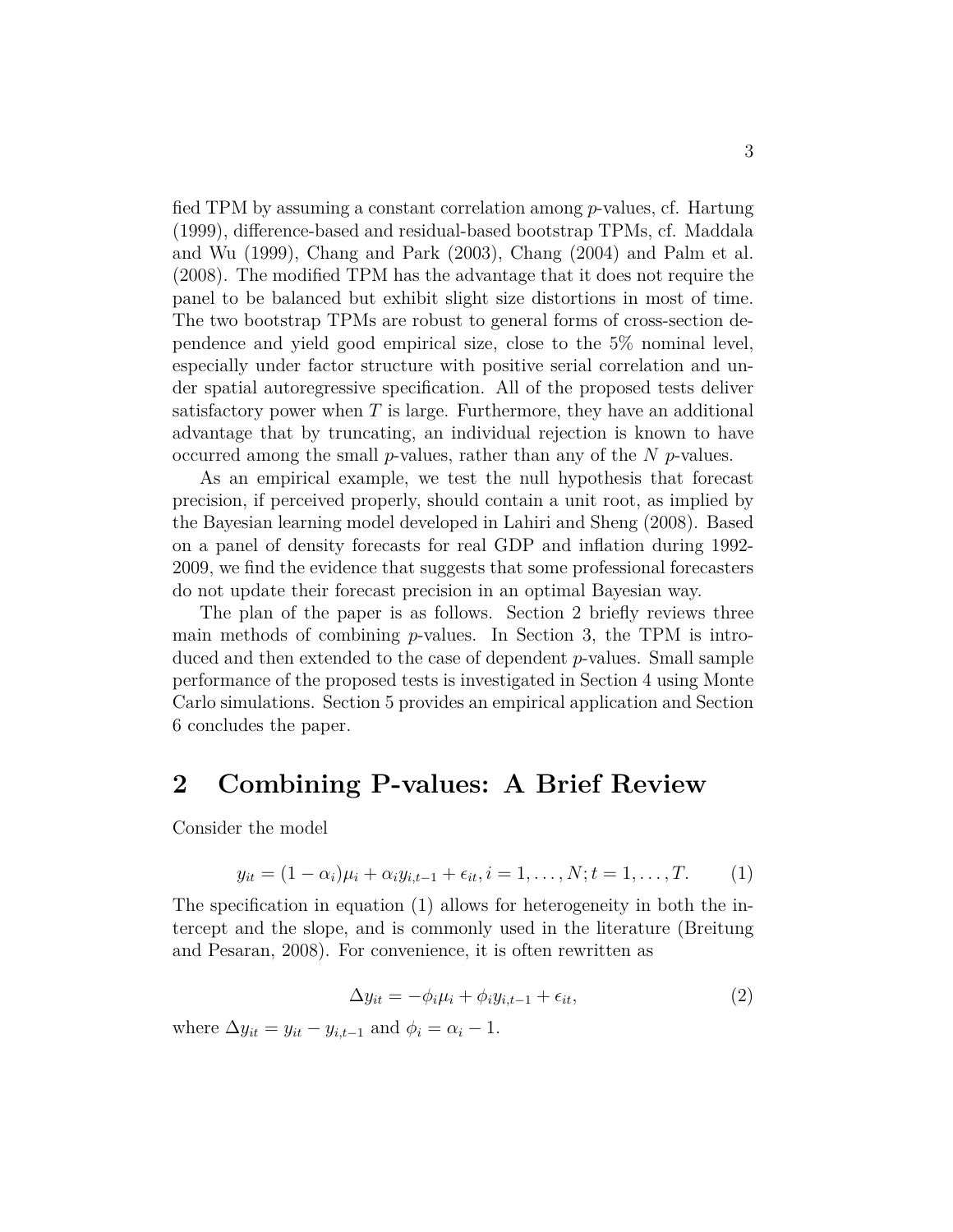fied TPM by assuming a constant correlation among *p*-values, cf. Hartung (1999), difference-based and residual-based bootstrap TPMs, cf. Maddala and Wu (1999), Chang and Park (2003), Chang (2004) and Palm et al. (2008). The modified TPM has the advantage that it does not require the panel to be balanced but exhibit slight size distortions in most of time. The two bootstrap TPMs are robust to general forms of cross-section dependence and yield good empirical size, close to the 5% nominal level, especially under factor structure with positive serial correlation and under spatial autoregressive specification. All of the proposed tests deliver satisfactory power when *T* is large. Furthermore, they have an additional advantage that by truncating, an individual rejection is known to have occurred among the small *p*-values, rather than any of the *N p*-values.

As an empirical example, we test the null hypothesis that forecast precision, if perceived properly, should contain a unit root, as implied by the Bayesian learning model developed in Lahiri and Sheng (2008). Based on a panel of density forecasts for real GDP and inflation during 1992- 2009, we find the evidence that suggests that some professional forecasters do not update their forecast precision in an optimal Bayesian way.

The plan of the paper is as follows. Section 2 briefly reviews three main methods of combining *p*-values. In Section 3, the TPM is introduced and then extended to the case of dependent *p*-values. Small sample performance of the proposed tests is investigated in Section 4 using Monte Carlo simulations. Section 5 provides an empirical application and Section 6 concludes the paper.

### **2 Combining P-values: A Brief Review**

Consider the model

$$
y_{it} = (1 - \alpha_i)\mu_i + \alpha_i y_{i, t-1} + \epsilon_{it}, i = 1, ..., N; t = 1, ..., T.
$$
 (1)

The specification in equation (1) allows for heterogeneity in both the intercept and the slope, and is commonly used in the literature (Breitung and Pesaran, 2008). For convenience, it is often rewritten as

$$
\Delta y_{it} = -\phi_i \mu_i + \phi_i y_{i,t-1} + \epsilon_{it},\tag{2}
$$

where  $\Delta y_{it} = y_{it} - y_{i,t-1}$  and  $\phi_i = \alpha_i - 1$ .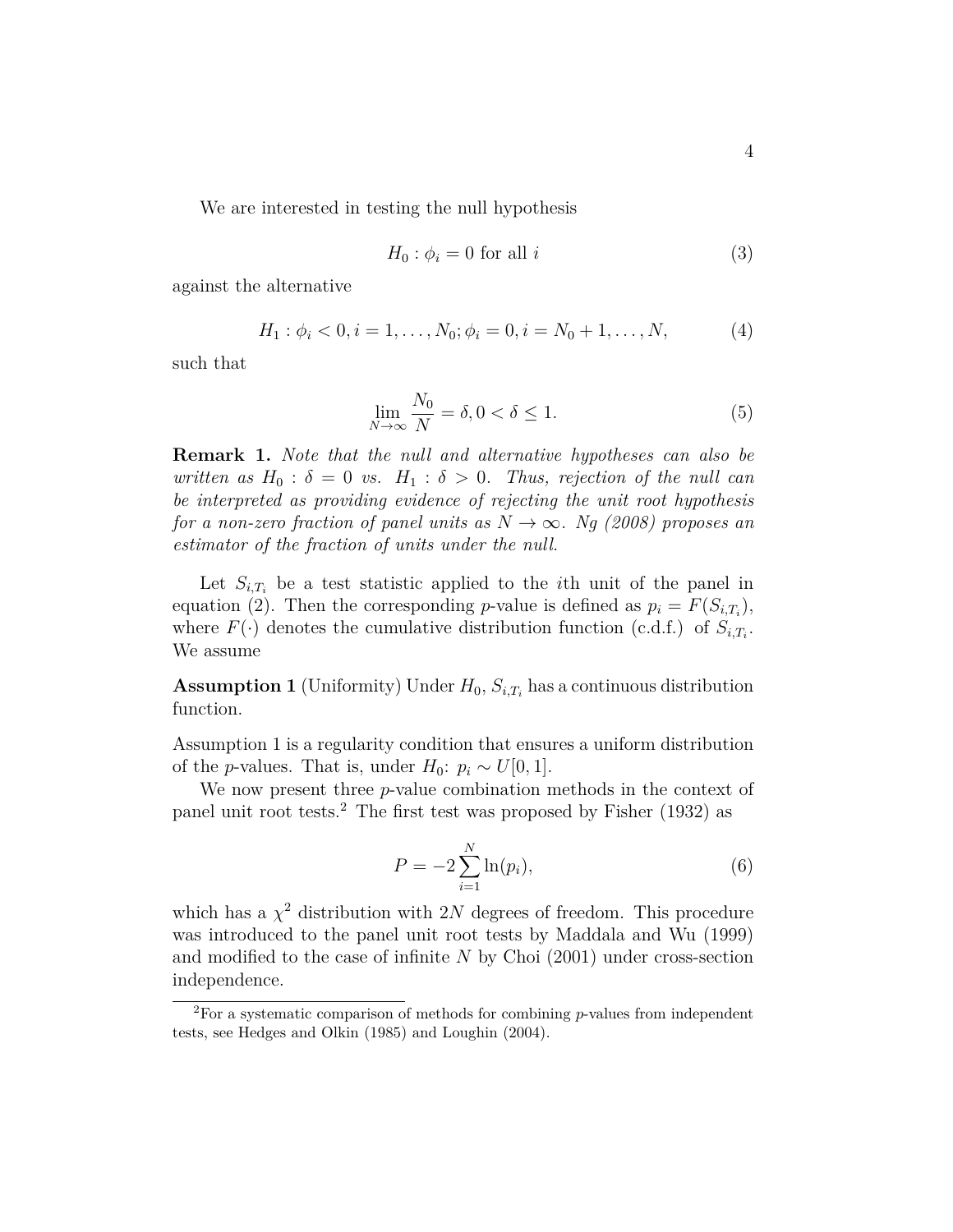We are interested in testing the null hypothesis

$$
H_0: \phi_i = 0 \text{ for all } i \tag{3}
$$

against the alternative

$$
H_1: \phi_i < 0, i = 1, \dots, N_0; \phi_i = 0, i = N_0 + 1, \dots, N,\tag{4}
$$

such that

$$
\lim_{N \to \infty} \frac{N_0}{N} = \delta, 0 < \delta \le 1. \tag{5}
$$

**Remark 1.** *Note that the null and alternative hypotheses can also be written as*  $H_0$ :  $\delta = 0$  *vs.*  $H_1$ :  $\delta > 0$ *. Thus, rejection of the null can be interpreted as providing evidence of rejecting the unit root hypothesis for a non-zero fraction of panel units as*  $N \rightarrow \infty$ *. Ng (2008) proposes an estimator of the fraction of units under the null.*

Let  $S_{i,T_i}$  be a test statistic applied to the *i*th unit of the panel in equation (2). Then the corresponding *p*-value is defined as  $p_i = F(S_{i,T_i})$ , where  $F(\cdot)$  denotes the cumulative distribution function (c.d.f.) of  $S_{i,T_i}$ . We assume

**Assumption 1** (Uniformity) Under  $H_0$ ,  $S_{i,T_i}$  has a continuous distribution function.

Assumption 1 is a regularity condition that ensures a uniform distribution of the *p*-values. That is, under  $H_0: p_i \sim U[0, 1].$ 

We now present three *p*-value combination methods in the context of panel unit root tests.<sup>2</sup> The first test was proposed by Fisher (1932) as

$$
P = -2\sum_{i=1}^{N} \ln(p_i),
$$
\n(6)

which has a  $\chi^2$  distribution with 2*N* degrees of freedom. This procedure was introduced to the panel unit root tests by Maddala and Wu (1999) and modified to the case of infinite *N* by Choi (2001) under cross-section independence.

<sup>2</sup>For a systematic comparison of methods for combining *p*-values from independent tests, see Hedges and Olkin (1985) and Loughin (2004).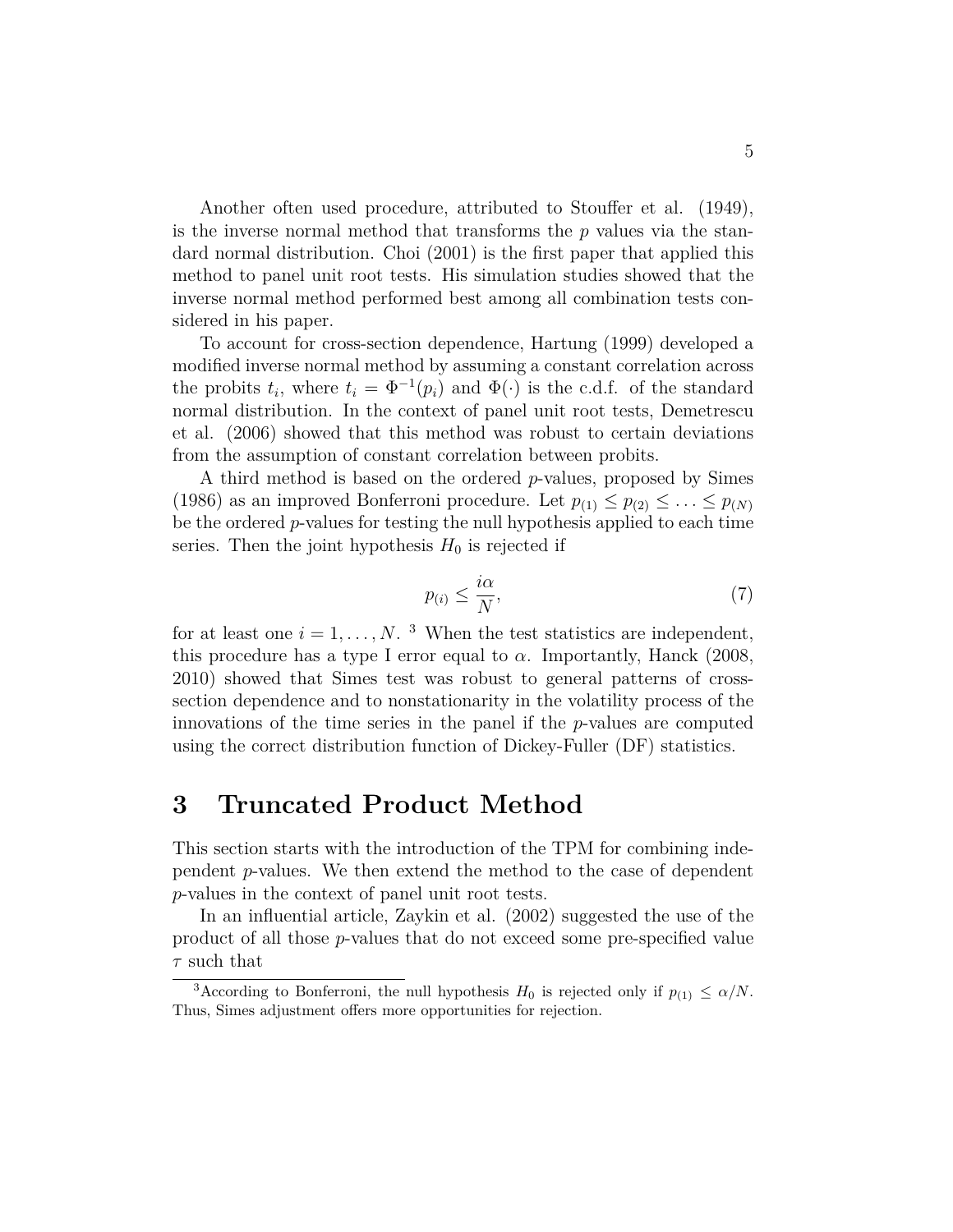Another often used procedure, attributed to Stouffer et al. (1949), is the inverse normal method that transforms the *p* values via the standard normal distribution. Choi (2001) is the first paper that applied this method to panel unit root tests. His simulation studies showed that the inverse normal method performed best among all combination tests considered in his paper.

To account for cross-section dependence, Hartung (1999) developed a modified inverse normal method by assuming a constant correlation across the probits  $t_i$ , where  $t_i = \Phi^{-1}(p_i)$  and  $\Phi(\cdot)$  is the c.d.f. of the standard normal distribution. In the context of panel unit root tests, Demetrescu et al. (2006) showed that this method was robust to certain deviations from the assumption of constant correlation between probits.

A third method is based on the ordered *p*-values, proposed by Simes (1986) as an improved Bonferroni procedure. Let  $p_{(1)} \leq p_{(2)} \leq \ldots \leq p_{(N)}$ be the ordered *p*-values for testing the null hypothesis applied to each time series. Then the joint hypothesis  $H_0$  is rejected if

$$
p_{(i)} \le \frac{i\alpha}{N},\tag{7}
$$

for at least one  $i = 1, \ldots, N$ . <sup>3</sup> When the test statistics are independent, this procedure has a type I error equal to  $\alpha$ . Importantly, Hanck (2008, 2010) showed that Simes test was robust to general patterns of crosssection dependence and to nonstationarity in the volatility process of the innovations of the time series in the panel if the *p*-values are computed using the correct distribution function of Dickey-Fuller (DF) statistics.

## **3 Truncated Product Method**

This section starts with the introduction of the TPM for combining independent *p*-values. We then extend the method to the case of dependent *p*-values in the context of panel unit root tests.

In an influential article, Zaykin et al. (2002) suggested the use of the product of all those *p*-values that do not exceed some pre-specified value *τ* such that

<sup>&</sup>lt;sup>3</sup>According to Bonferroni, the null hypothesis  $H_0$  is rejected only if  $p_{(1)} \leq \alpha/N$ . Thus, Simes adjustment offers more opportunities for rejection.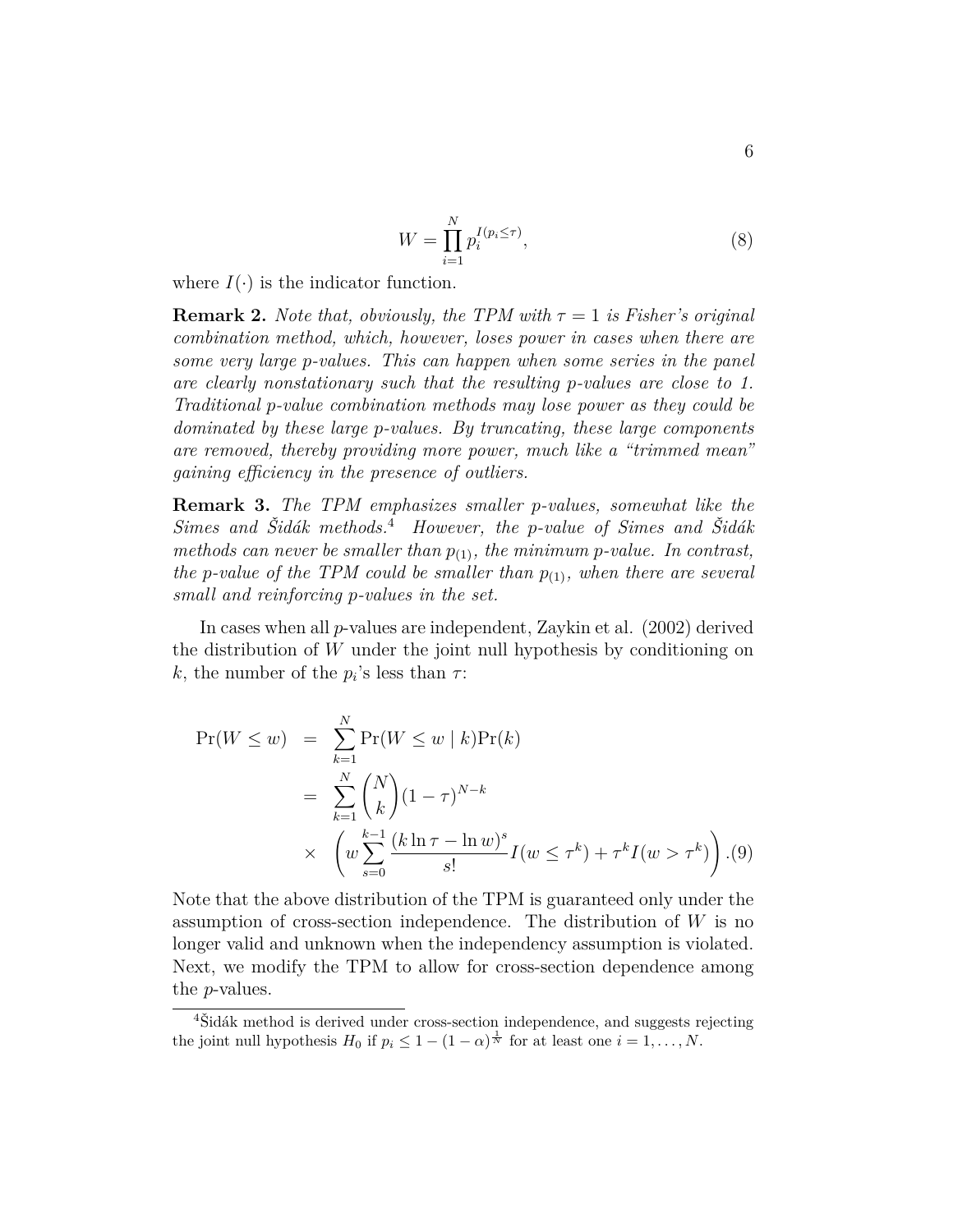$$
W = \prod_{i=1}^{N} p_i^{I(p_i \le \tau)},
$$
\n(8)

where  $I(\cdot)$  is the indicator function.

**Remark 2.** *Note that, obviously, the TPM with*  $\tau = 1$  *is Fisher's original combination method, which, however, loses power in cases when there are some very large p-values. This can happen when some series in the panel are clearly nonstationary such that the resulting p-values are close to 1. Traditional p-value combination methods may lose power as they could be dominated by these large p-values. By truncating, these large components are removed, thereby providing more power, much like a "trimmed mean" gaining efficiency in the presence of outliers.*

**Remark 3.** *The TPM emphasizes smaller p-values, somewhat like the Simes and Šidák methods.*<sup>4</sup> *However, the p-value of Simes and Šidák methods can never be smaller than*  $p_{(1)}$ *, the minimum p-value. In contrast, the p*-value of the TPM could be smaller than  $p_{(1)}$ , when there are several *small and reinforcing p-values in the set.*

In cases when all *p*-values are independent, Zaykin et al. (2002) derived the distribution of *W* under the joint null hypothesis by conditioning on *k*, the number of the  $p_i$ 's less than  $\tau$ :

$$
\Pr(W \le w) = \sum_{k=1}^{N} \Pr(W \le w \mid k) \Pr(k)
$$
  
= 
$$
\sum_{k=1}^{N} {N \choose k} (1 - \tau)^{N-k}
$$
  

$$
\times \left( w \sum_{s=0}^{k-1} \frac{(k \ln \tau - \ln w)^s}{s!} I(w \le \tau^k) + \tau^k I(w > \tau^k) \right). (9)
$$

Note that the above distribution of the TPM is guaranteed only under the assumption of cross-section independence. The distribution of *W* is no longer valid and unknown when the independency assumption is violated. Next, we modify the TPM to allow for cross-section dependence among the *p*-values.

<sup>&</sup>lt;sup>4</sup>Šidák method is derived under cross-section independence, and suggests rejecting the joint null hypothesis  $H_0$  if  $p_i \leq 1 - (1 - \alpha)^{\frac{1}{N}}$  for at least one  $i = 1, \ldots, N$ .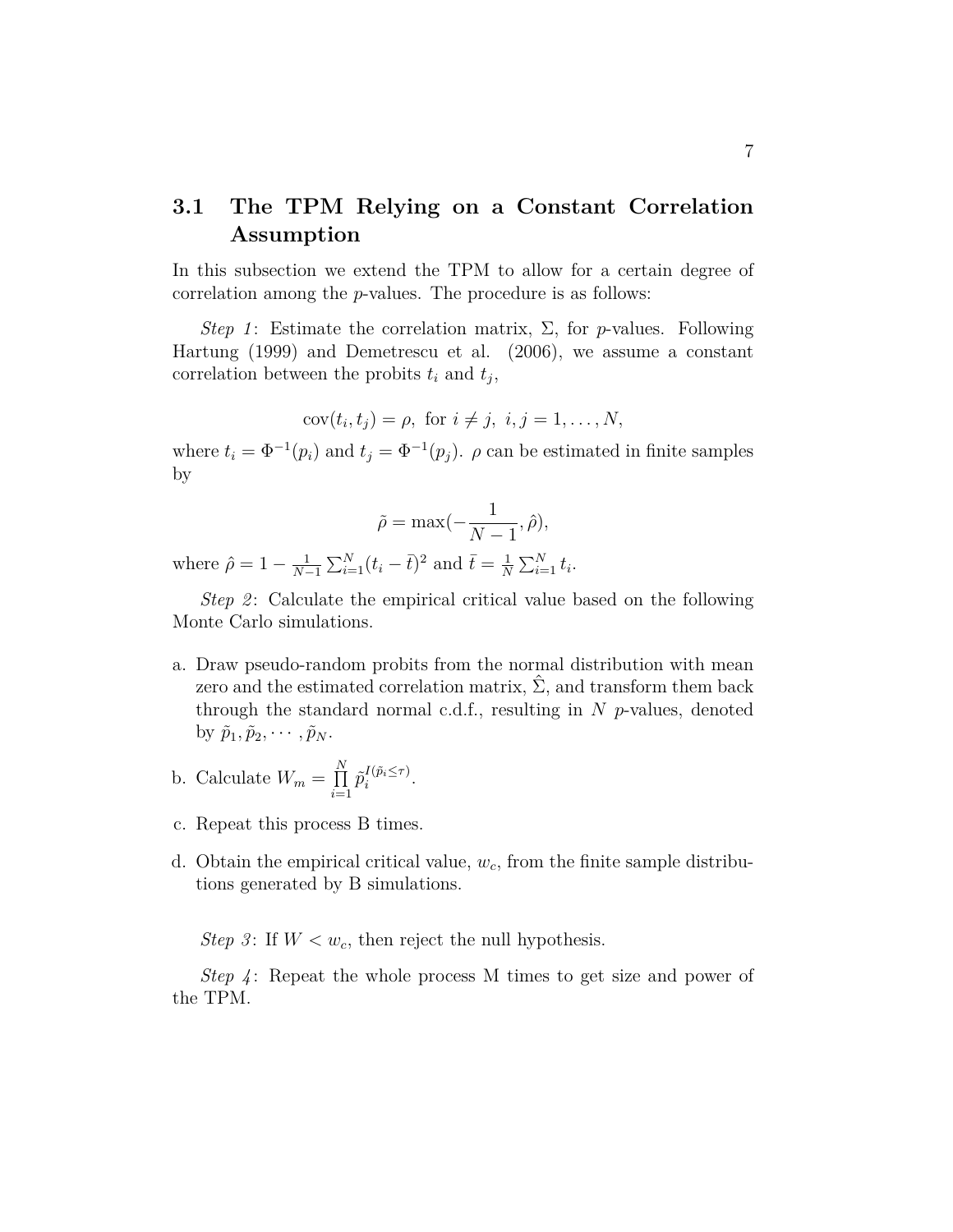### **3.1 The TPM Relying on a Constant Correlation Assumption**

In this subsection we extend the TPM to allow for a certain degree of correlation among the *p*-values. The procedure is as follows:

*Step 1*: Estimate the correlation matrix,  $\Sigma$ , for *p*-values. Following Hartung (1999) and Demetrescu et al. (2006), we assume a constant correlation between the probits  $t_i$  and  $t_j$ ,

$$
cov(t_i, t_j) = \rho, \text{ for } i \neq j, i, j = 1, \dots, N,
$$

where  $t_i = \Phi^{-1}(p_i)$  and  $t_j = \Phi^{-1}(p_j)$ .  $\rho$  can be estimated in finite samples by

$$
\tilde{\rho} = \max(-\frac{1}{N-1}, \hat{\rho}),
$$

where  $\hat{\rho} = 1 - \frac{1}{N}$  $\frac{1}{N-1} \sum_{i=1}^{N} (t_i - \bar{t})^2$  and  $\bar{t} = \frac{1}{N}$  $\frac{1}{N} \sum_{i=1}^{N} t_i$ .

*Step 2*: Calculate the empirical critical value based on the following Monte Carlo simulations.

- a. Draw pseudo-random probits from the normal distribution with mean zero and the estimated correlation matrix,  $\Sigma$ , and transform them back through the standard normal c.d.f., resulting in *N p*-values, denoted by  $\tilde{p}_1, \tilde{p}_2, \cdots, \tilde{p}_N$ .
- b. Calculate  $W_m = \prod^N$ *i*=1  $\tilde{p}^{I(\tilde{p}_i \leq \tau)}_i$  $i^{(p_i \leq \tau)}$ .
- c. Repeat this process B times.
- d. Obtain the empirical critical value, *wc*, from the finite sample distributions generated by B simulations.

*Step 3*: If  $W < w_c$ , then reject the null hypothesis.

*Step 4* : Repeat the whole process M times to get size and power of the TPM.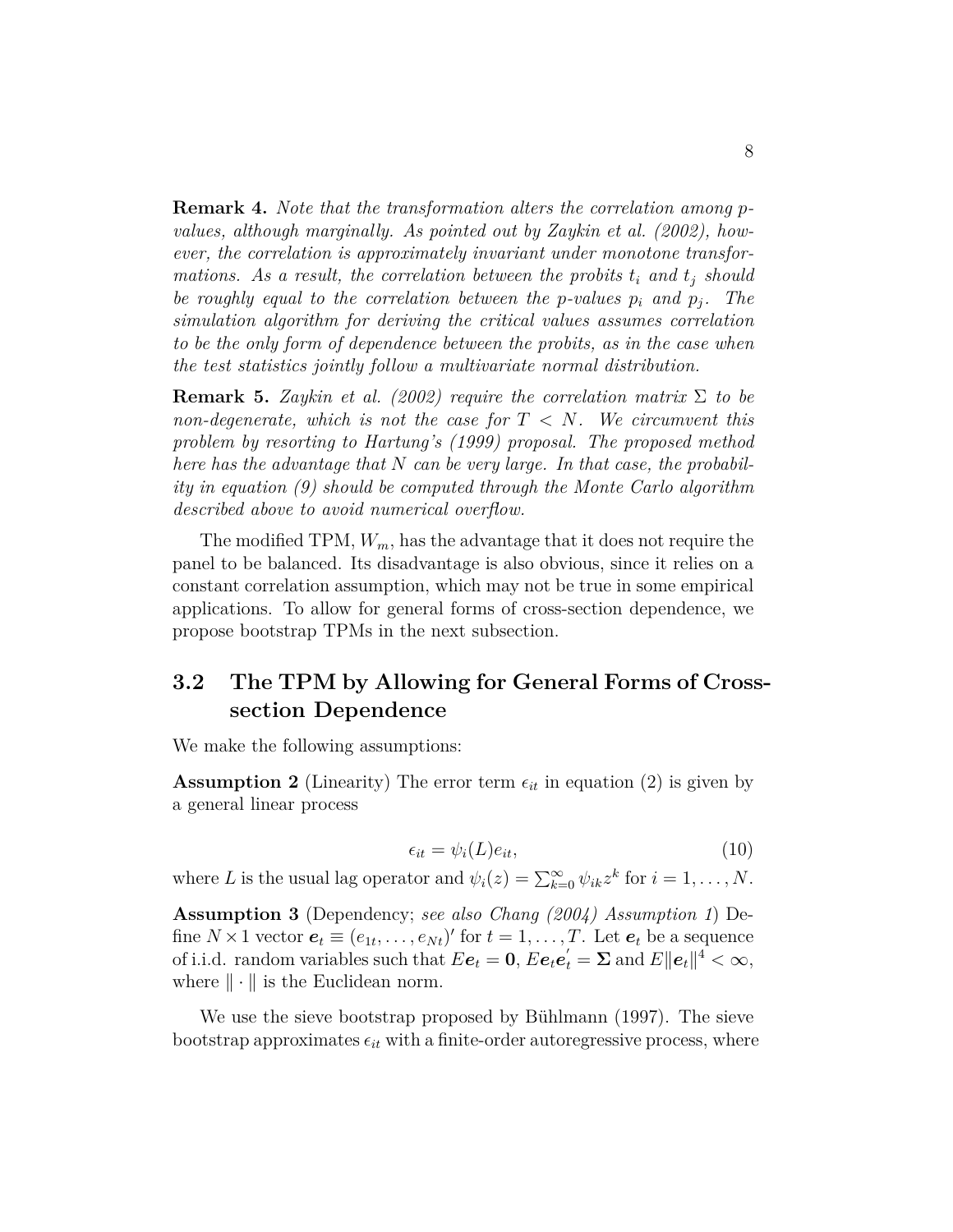**Remark 4.** *Note that the transformation alters the correlation among pvalues, although marginally. As pointed out by Zaykin et al. (2002), however, the correlation is approximately invariant under monotone transformations. As a result, the correlation between the probits*  $t_i$  *and*  $t_j$  *should be roughly equal to the correlation between the <i>p*-values  $p_i$  and  $p_j$ . The *simulation algorithm for deriving the critical values assumes correlation to be the only form of dependence between the probits, as in the case when the test statistics jointly follow a multivariate normal distribution.*

**Remark 5.** *Zaykin et al. (2002) require the correlation matrix* Σ *to be non-degenerate, which is not the case for T < N. We circumvent this problem by resorting to Hartung's (1999) proposal. The proposed method here has the advantage that N can be very large. In that case, the probability in equation (9) should be computed through the Monte Carlo algorithm described above to avoid numerical overflow.*

The modified TPM, *Wm*, has the advantage that it does not require the panel to be balanced. Its disadvantage is also obvious, since it relies on a constant correlation assumption, which may not be true in some empirical applications. To allow for general forms of cross-section dependence, we propose bootstrap TPMs in the next subsection.

### **3.2 The TPM by Allowing for General Forms of Crosssection Dependence**

We make the following assumptions:

**Assumption 2** (Linearity) The error term  $\epsilon_{it}$  in equation (2) is given by a general linear process

$$
\epsilon_{it} = \psi_i(L)e_{it},\tag{10}
$$

where *L* is the usual lag operator and  $\psi_i(z) = \sum_{k=0}^{\infty} \psi_{ik} z^k$  for  $i = 1, ..., N$ .

**Assumption 3** (Dependency; *see also Chang (2004) Assumption 1*) Define  $N \times 1$  vector  $e_t \equiv (e_{1t}, \ldots, e_{Nt})'$  for  $t = 1, \ldots, T$ . Let  $e_t$  be a sequence of i.i.d. random variables such that  $E e_t = 0$ ,  $E e_t e_t' = \Sigma$  and  $E ||e_t||^4 < \infty$ , where  $\|\cdot\|$  is the Euclidean norm.

We use the sieve bootstrap proposed by Bühlmann (1997). The sieve  $\text{bootstrap approximates } \epsilon_{it}$  with a finite-order autoregressive process, where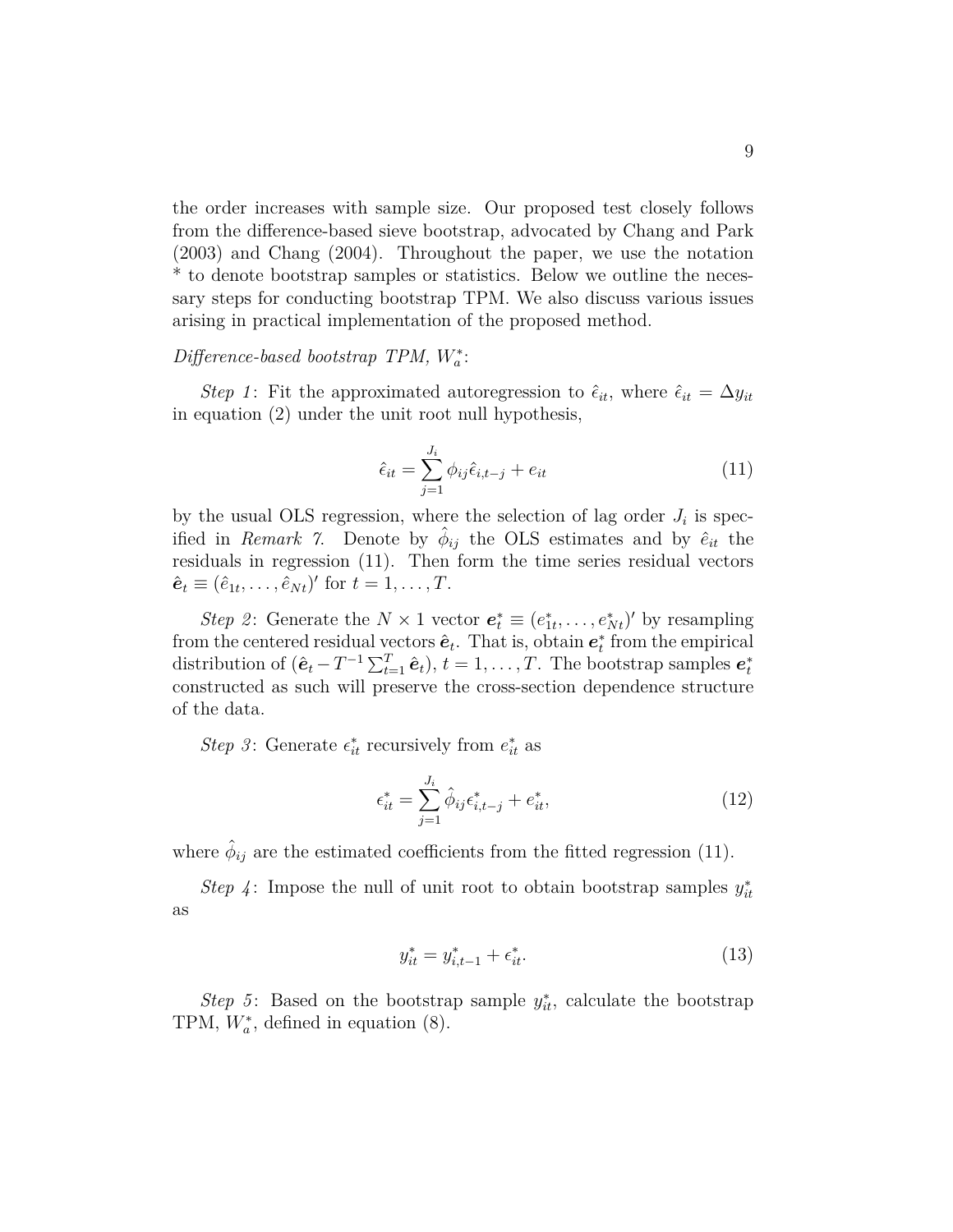the order increases with sample size. Our proposed test closely follows from the difference-based sieve bootstrap, advocated by Chang and Park (2003) and Chang (2004). Throughout the paper, we use the notation \* to denote bootstrap samples or statistics. Below we outline the necessary steps for conducting bootstrap TPM. We also discuss various issues arising in practical implementation of the proposed method.

### *Difference-based bootstrap TPM, W*<sup>∗</sup> *a* :

*Step 1*: Fit the approximated autoregression to  $\hat{\epsilon}_{it}$ , where  $\hat{\epsilon}_{it} = \Delta y_{it}$ in equation (2) under the unit root null hypothesis,

$$
\hat{\epsilon}_{it} = \sum_{j=1}^{J_i} \phi_{ij} \hat{\epsilon}_{i,t-j} + e_{it} \tag{11}
$$

by the usual OLS regression, where the selection of lag order  $J_i$  is specified in *Remark 7*. Denote by  $\hat{\phi}_{ij}$  the OLS estimates and by  $\hat{e}_{it}$  the residuals in regression (11). Then form the time series residual vectors  $\hat{\mathbf{e}}_t \equiv (\hat{e}_{1t}, \dots, \hat{e}_{Nt})'$  for  $t = 1, \dots, T$ .

*Step 2*: Generate the  $N \times 1$  vector  $e_t^* \equiv (e_{1t}^*, \ldots, e_{Nt}^*)'$  by resampling from the centered residual vectors  $\hat{\mathbf{e}}_t$ . That is, obtain  $\mathbf{e}_t^*$  from the empirical distribution of  $(\hat{\mathbf{e}}_t - T^{-1} \sum_{t=1}^T \hat{\mathbf{e}}_t), t = 1, \dots, T$ . The bootstrap samples  $\mathbf{e}_t^*$ constructed as such will preserve the cross-section dependence structure of the data.

*Step 3*: Generate  $\epsilon_{it}^*$  recursively from  $e_{it}^*$  as

$$
\epsilon_{it}^* = \sum_{j=1}^{J_i} \hat{\phi}_{ij} \epsilon_{i,t-j}^* + e_{it}^*,
$$
\n(12)

where  $\hat{\phi}_{ij}$  are the estimated coefficients from the fitted regression (11).

*Step 4*: Impose the null of unit root to obtain bootstrap samples  $y_{it}^*$ as

$$
y_{it}^* = y_{i,t-1}^* + \epsilon_{it}^*.
$$
 (13)

*Step 5*: Based on the bootstrap sample  $y_{it}^*$ , calculate the bootstrap TPM,  $W_a^*$ , defined in equation (8).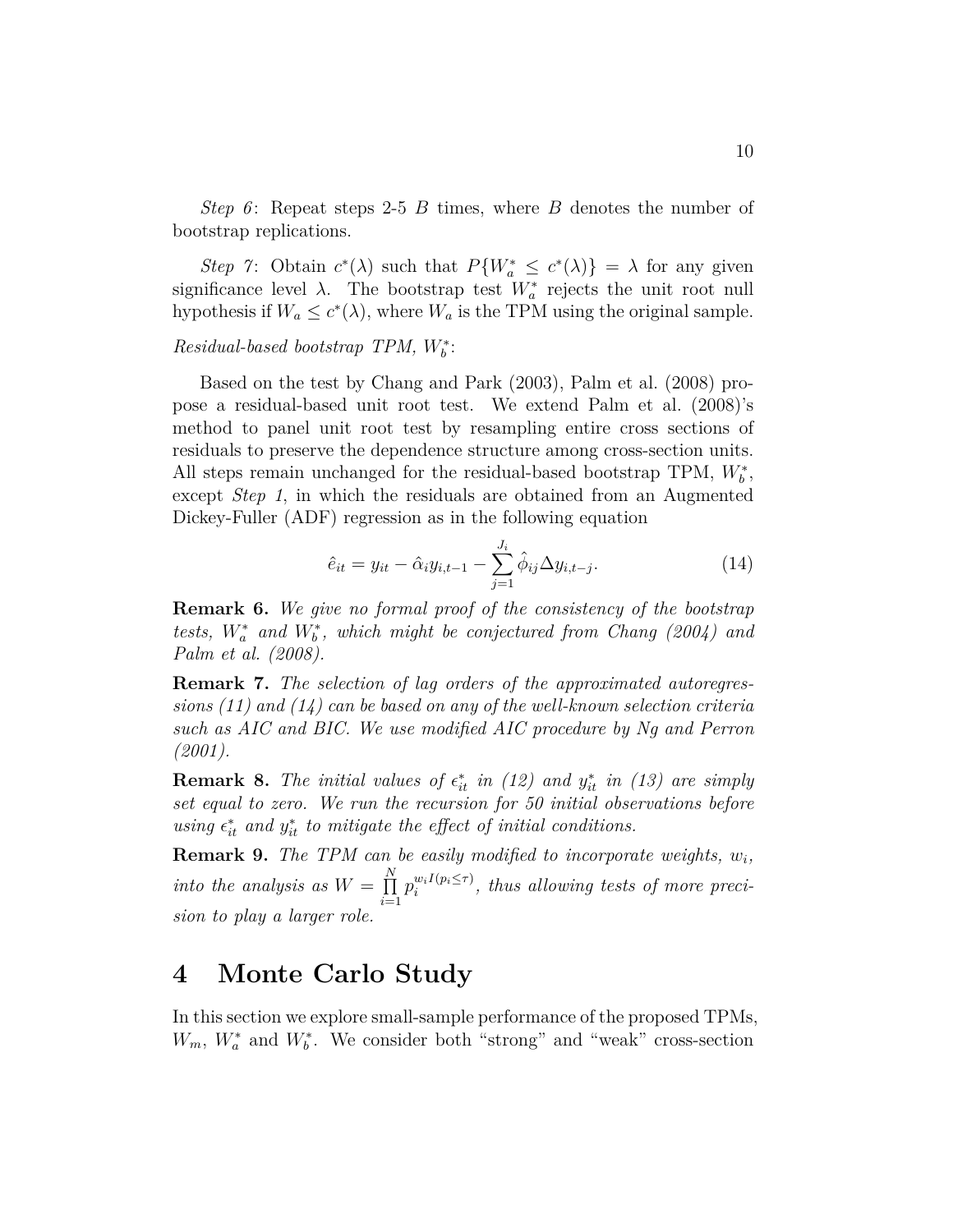*Step 6* : Repeat steps 2-5 *B* times, where *B* denotes the number of bootstrap replications.

*Step 7*: Obtain  $c^*(\lambda)$  such that  $P\{W_a^* \leq c^*(\lambda)\} = \lambda$  for any given significance level  $\lambda$ . The bootstrap test  $W^*_{a}$  rejects the unit root null hypothesis if  $W_a \leq c^*(\lambda)$ , where  $W_a$  is the TPM using the original sample.

### *Residual-based bootstrap TPM, W*<sup>∗</sup> *b* :

Based on the test by Chang and Park (2003), Palm et al. (2008) propose a residual-based unit root test. We extend Palm et al. (2008)'s method to panel unit root test by resampling entire cross sections of residuals to preserve the dependence structure among cross-section units. All steps remain unchanged for the residual-based bootstrap TPM,  $W_b^*$ , except *Step 1*, in which the residuals are obtained from an Augmented Dickey-Fuller (ADF) regression as in the following equation

$$
\hat{e}_{it} = y_{it} - \hat{\alpha}_i y_{i,t-1} - \sum_{j=1}^{J_i} \hat{\phi}_{ij} \Delta y_{i,t-j}.
$$
\n(14)

**Remark 6.** *We give no formal proof of the consistency of the bootstrap tests,*  $W_a^*$  *and*  $W_b^*$ *, which might be conjectured from Chang (2004) and Palm et al. (2008).*

**Remark 7.** *The selection of lag orders of the approximated autoregressions (11) and (14) can be based on any of the well-known selection criteria such as AIC and BIC. We use modified AIC procedure by Ng and Perron (2001).*

**Remark 8.** The initial values of  $\epsilon_{it}^*$  in (12) and  $y_{it}^*$  in (13) are simply *set equal to zero. We run the recursion for 50 initial observations before*  $using \epsilon_{it}^{*}$  and  $y_{it}^{*}$  to mitigate the effect of initial conditions.

**Remark 9.** *The TPM can be easily modified to incorporate weights, w<sup>i</sup> , into the analysis as*  $W = \prod^N$ *i*=1  $p_i^{w_i I(p_i \leq \tau)}$  $\binom{w_i}{i}$ , thus allowing tests of more preci*sion to play a larger role.*

### **4 Monte Carlo Study**

In this section we explore small-sample performance of the proposed TPMs,  $W_m$ ,  $W_a^*$  and  $W_b^*$ . We consider both "strong" and "weak" cross-section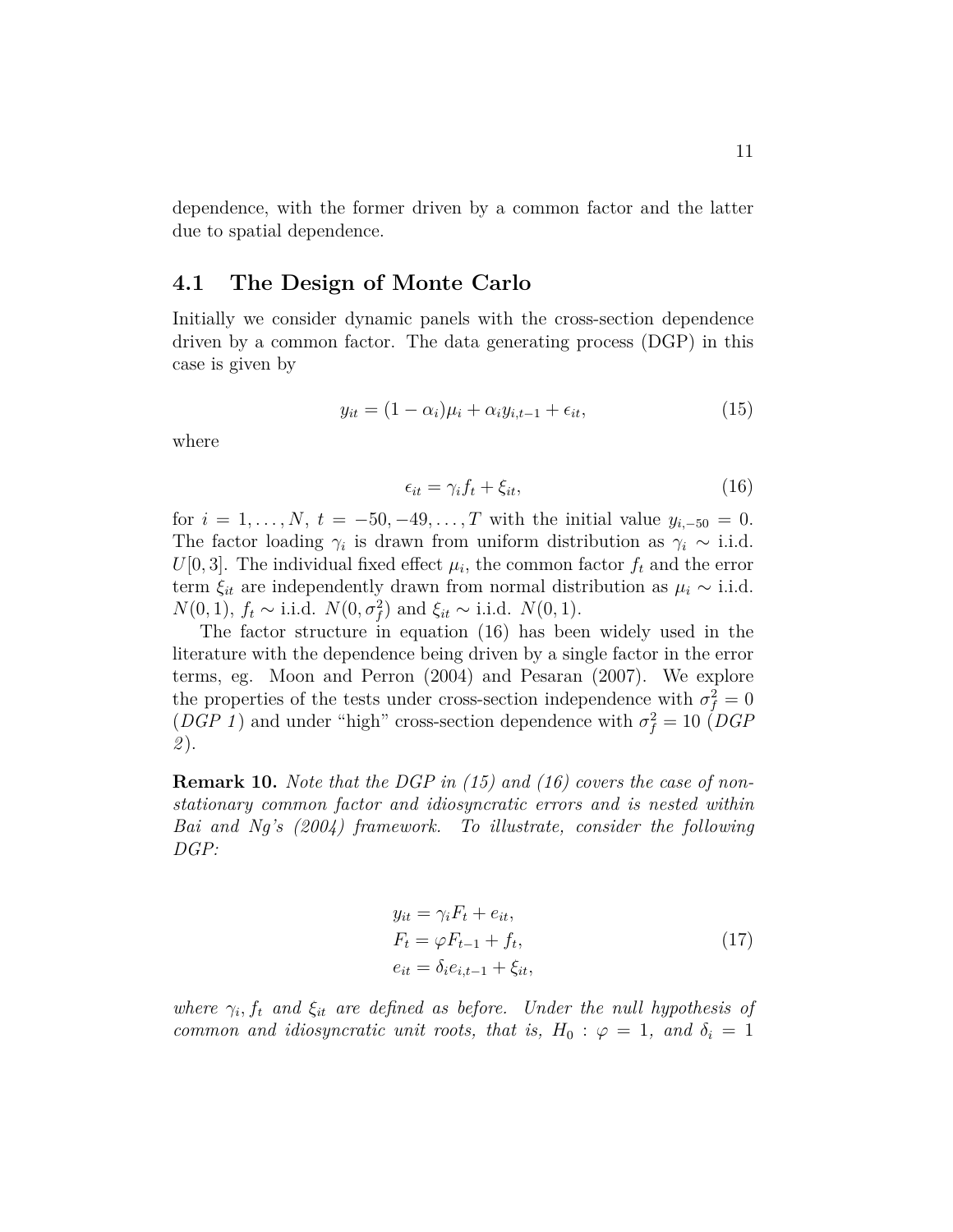dependence, with the former driven by a common factor and the latter due to spatial dependence.

### **4.1 The Design of Monte Carlo**

Initially we consider dynamic panels with the cross-section dependence driven by a common factor. The data generating process (DGP) in this case is given by

$$
y_{it} = (1 - \alpha_i)\mu_i + \alpha_i y_{i, t-1} + \epsilon_{it}, \qquad (15)
$$

where

$$
\epsilon_{it} = \gamma_i f_t + \xi_{it},\tag{16}
$$

for  $i = 1, \ldots, N$ ,  $t = -50, -49, \ldots, T$  with the initial value  $y_{i,-50} = 0$ . The factor loading  $\gamma_i$  is drawn from uniform distribution as  $\gamma_i \sim$  i.i.d.  $U[0,3]$ . The individual fixed effect  $\mu_i$ , the common factor  $f_t$  and the error term  $\xi_{it}$  are independently drawn from normal distribution as  $\mu_i \sim$  i.i.d. *N*(0*,* 1),  $f_t$  ∼ i.i.d. *N*(0*,*  $\sigma_f^2$ ) and  $\xi_{it}$  ∼ i.i.d. *N*(0*,* 1).

The factor structure in equation (16) has been widely used in the literature with the dependence being driven by a single factor in the error terms, eg. Moon and Perron (2004) and Pesaran (2007). We explore the properties of the tests under cross-section independence with  $\sigma_f^2 = 0$ (*DGP 1*) and under "high" cross-section dependence with  $\sigma_f^2 = 10$  (*DGP 2* ).

**Remark 10.** *Note that the DGP in (15) and (16) covers the case of nonstationary common factor and idiosyncratic errors and is nested within Bai and Ng's (2004) framework. To illustrate, consider the following DGP:*

$$
y_{it} = \gamma_i F_t + e_{it},
$$
  
\n
$$
F_t = \varphi F_{t-1} + f_t,
$$
  
\n
$$
e_{it} = \delta_i e_{i,t-1} + \xi_{it},
$$
\n(17)

*where*  $\gamma_i$ ,  $f_t$  *and*  $\xi_{it}$  *are defined as before. Under the null hypothesis of common and idiosyncratic unit roots, that is,*  $H_0$ :  $\varphi = 1$ *, and*  $\delta_i = 1$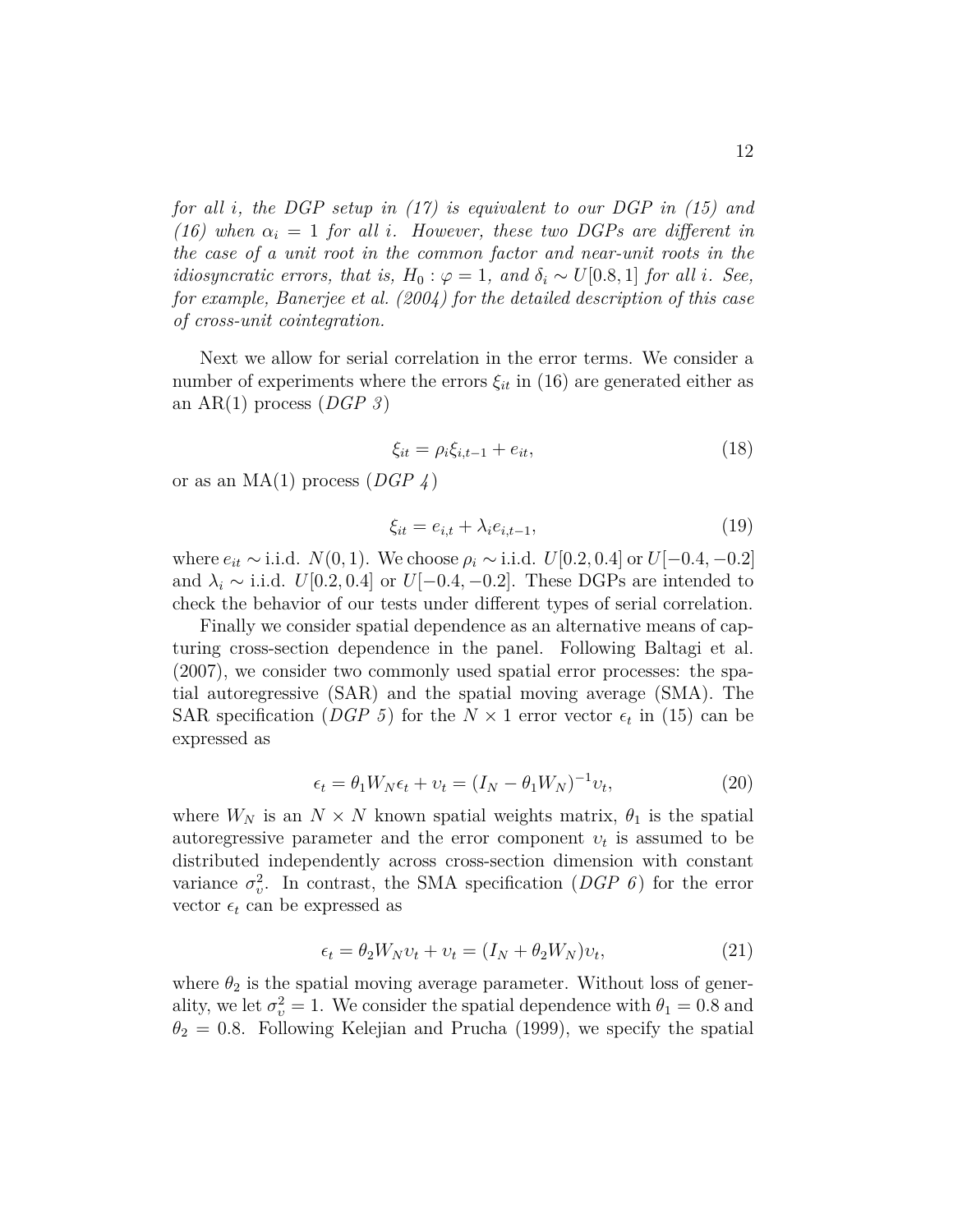*for all i, the DGP setup in (17) is equivalent to our DGP in (15) and (16) when*  $\alpha_i = 1$  *for all i. However, these two DGPs are different in the case of a unit root in the common factor and near-unit roots in the idiosyncratic errors, that is,*  $H_0: \varphi = 1$ *, and*  $\delta_i \sim U[0.8, 1]$  *for all i. See, for example, Banerjee et al. (2004) for the detailed description of this case of cross-unit cointegration.*

Next we allow for serial correlation in the error terms. We consider a number of experiments where the errors  $\xi_{it}$  in (16) are generated either as an AR(1) process (*DGP 3* )

$$
\xi_{it} = \rho_i \xi_{i, t-1} + e_{it},\tag{18}
$$

or as an MA(1) process (*DGP 4* )

$$
\xi_{it} = e_{i,t} + \lambda_i e_{i,t-1},\tag{19}
$$

where  $e_{it}$  ∼ i.i.d. *N*(0*,* 1). We choose  $ρ_i$  ∼ i.i.d. *U*[0*.*2*,* 0*.*4] or *U*[−0*.*4*,* −0*.*2] and  $\lambda_i \sim$  i.i.d. *U*[0*.*2*,* 0*.*4] or *U*[−0*.*4*,* −0*.*2]. These DGPs are intended to check the behavior of our tests under different types of serial correlation.

Finally we consider spatial dependence as an alternative means of capturing cross-section dependence in the panel. Following Baltagi et al. (2007), we consider two commonly used spatial error processes: the spatial autoregressive (SAR) and the spatial moving average (SMA). The SAR specification (*DGP 5*) for the  $N \times 1$  error vector  $\epsilon_t$  in (15) can be expressed as

$$
\epsilon_t = \theta_1 W_N \epsilon_t + \upsilon_t = (I_N - \theta_1 W_N)^{-1} \upsilon_t,\tag{20}
$$

where  $W_N$  is an  $N \times N$  known spatial weights matrix,  $\theta_1$  is the spatial autoregressive parameter and the error component  $v_t$  is assumed to be distributed independently across cross-section dimension with constant variance  $\sigma_v^2$ . In contrast, the SMA specification (*DGP 6*) for the error vector  $\epsilon_t$  can be expressed as

$$
\epsilon_t = \theta_2 W_N v_t + v_t = (I_N + \theta_2 W_N)v_t,
$$
\n(21)

where  $\theta_2$  is the spatial moving average parameter. Without loss of generality, we let  $\sigma_v^2 = 1$ . We consider the spatial dependence with  $\theta_1 = 0.8$  and  $\theta_2 = 0.8$ . Following Kelejian and Prucha (1999), we specify the spatial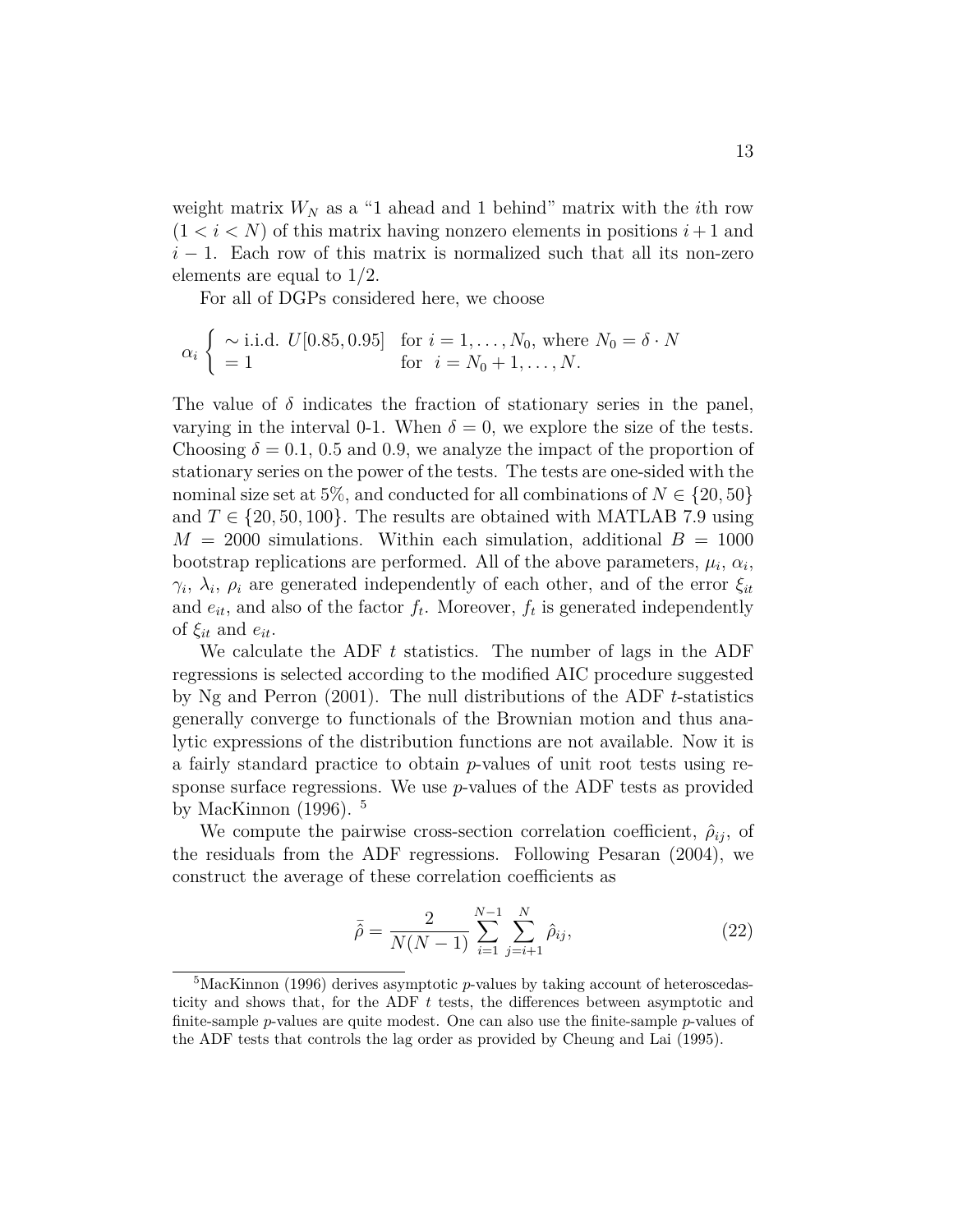weight matrix  $W_N$  as a "1 ahead and 1 behind" matrix with the *i*th row  $(1 < i < N)$  of this matrix having nonzero elements in positions  $i+1$  and  $i-1$ . Each row of this matrix is normalized such that all its non-zero elements are equal to 1/2.

For all of DGPs considered here, we choose

$$
\alpha_i \begin{cases} \sim i.i.d. \ U[0.85, 0.95] & \text{for } i = 1, ..., N_0, \text{ where } N_0 = \delta \cdot N \\ = 1 & \text{for } i = N_0 + 1, ..., N. \end{cases}
$$

The value of  $\delta$  indicates the fraction of stationary series in the panel, varying in the interval 0-1. When  $\delta = 0$ , we explore the size of the tests. Choosing  $\delta = 0.1, 0.5$  and 0.9, we analyze the impact of the proportion of stationary series on the power of the tests. The tests are one-sided with the nominal size set at 5%, and conducted for all combinations of  $N \in \{20, 50\}$ and  $T \in \{20, 50, 100\}$ . The results are obtained with MATLAB 7.9 using  $M = 2000$  simulations. Within each simulation, additional  $B = 1000$ bootstrap replications are performed. All of the above parameters,  $\mu_i$ ,  $\alpha_i$ , *γi* , *λ<sup>i</sup>* , *ρ<sup>i</sup>* are generated independently of each other, and of the error *ξit* and  $e_{it}$ , and also of the factor  $f_t$ . Moreover,  $f_t$  is generated independently of  $\xi_{it}$  and  $e_{it}$ .

We calculate the ADF *t* statistics. The number of lags in the ADF regressions is selected according to the modified AIC procedure suggested by Ng and Perron (2001). The null distributions of the ADF *t*-statistics generally converge to functionals of the Brownian motion and thus analytic expressions of the distribution functions are not available. Now it is a fairly standard practice to obtain *p*-values of unit root tests using response surface regressions. We use *p*-values of the ADF tests as provided by MacKinnon  $(1996)$ . <sup>5</sup>

We compute the pairwise cross-section correlation coefficient,  $\hat{\rho}_{ij}$ , of the residuals from the ADF regressions. Following Pesaran (2004), we construct the average of these correlation coefficients as

$$
\bar{\hat{\rho}} = \frac{2}{N(N-1)} \sum_{i=1}^{N-1} \sum_{j=i+1}^{N} \hat{\rho}_{ij},
$$
\n(22)

<sup>&</sup>lt;sup>5</sup>MacKinnon (1996) derives asymptotic *p*-values by taking account of heteroscedasticity and shows that, for the ADF *t* tests, the differences between asymptotic and finite-sample *p*-values are quite modest. One can also use the finite-sample *p*-values of the ADF tests that controls the lag order as provided by Cheung and Lai (1995).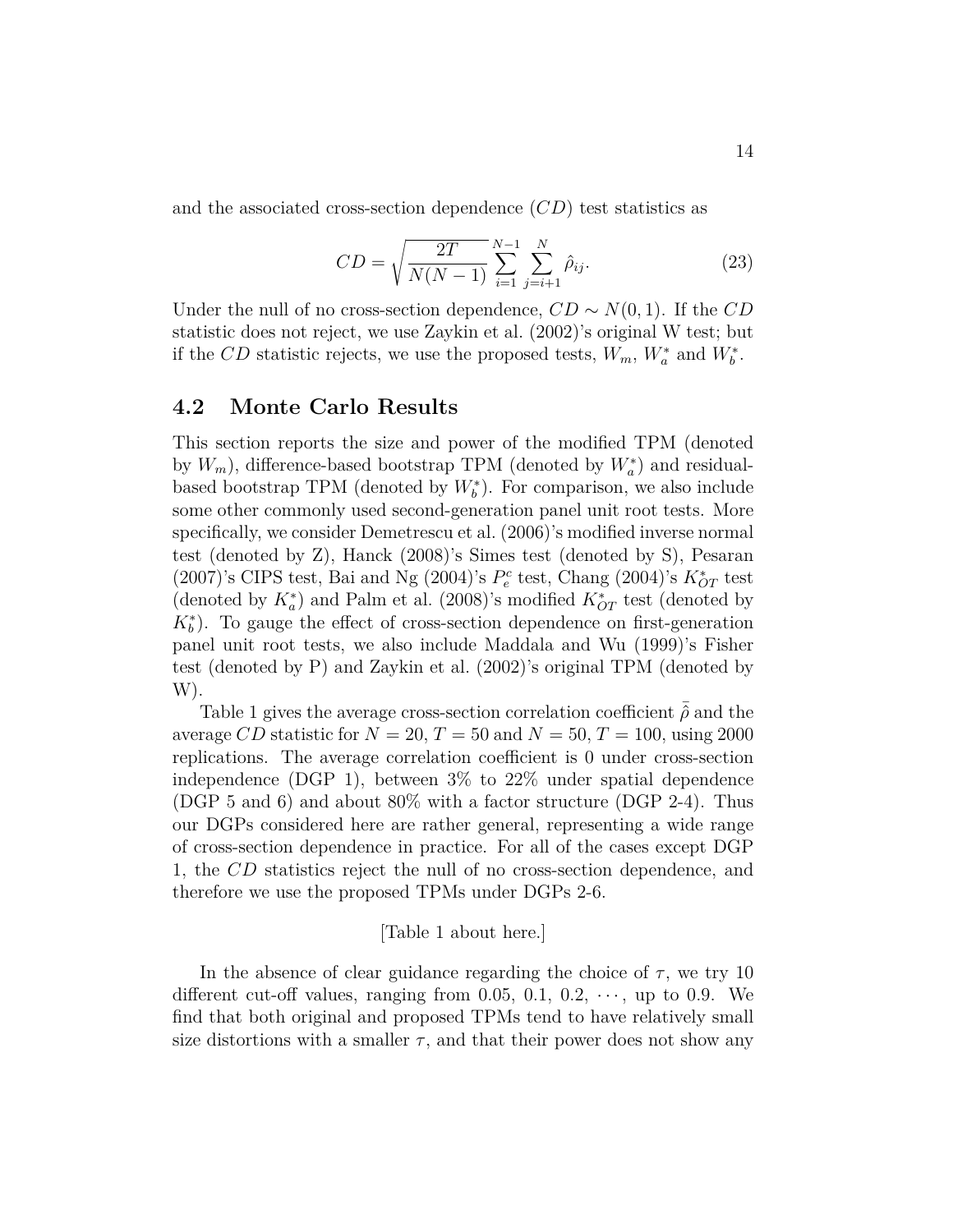and the associated cross-section dependence (*CD*) test statistics as

$$
CD = \sqrt{\frac{2T}{N(N-1)}} \sum_{i=1}^{N-1} \sum_{j=i+1}^{N} \hat{\rho}_{ij}.
$$
 (23)

Under the null of no cross-section dependence,  $CD \sim N(0, 1)$ . If the  $CD$ statistic does not reject, we use Zaykin et al. (2002)'s original W test; but if the *CD* statistic rejects, we use the proposed tests,  $W_m$ ,  $W_a^*$  and  $W_b^*$ .

### **4.2 Monte Carlo Results**

This section reports the size and power of the modified TPM (denoted by  $W_m$ ), difference-based bootstrap TPM (denoted by  $W_a^*$ ) and residualbased bootstrap TPM (denoted by  $W_b^*$ ). For comparison, we also include some other commonly used second-generation panel unit root tests. More specifically, we consider Demetrescu et al. (2006)'s modified inverse normal test (denoted by Z), Hanck (2008)'s Simes test (denoted by S), Pesaran (2007)'s CIPS test, Bai and Ng (2004)'s  $P_e^c$  test, Chang (2004)'s  $K_{OT}^*$  test (denoted by  $K_a^*$ ) and Palm et al. (2008)'s modified  $K_{OT}^*$  test (denoted by  $K_b^*$ ). To gauge the effect of cross-section dependence on first-generation panel unit root tests, we also include Maddala and Wu (1999)'s Fisher test (denoted by P) and Zaykin et al. (2002)'s original TPM (denoted by W).

Table 1 gives the average cross-section correlation coefficient  $\hat{\rho}$  and the average *CD* statistic for  $N = 20$ ,  $T = 50$  and  $N = 50$ ,  $T = 100$ , using 2000 replications. The average correlation coefficient is 0 under cross-section independence (DGP 1), between 3% to 22% under spatial dependence (DGP 5 and 6) and about 80% with a factor structure (DGP 2-4). Thus our DGPs considered here are rather general, representing a wide range of cross-section dependence in practice. For all of the cases except DGP 1, the *CD* statistics reject the null of no cross-section dependence, and therefore we use the proposed TPMs under DGPs 2-6.

### [Table 1 about here.]

In the absence of clear guidance regarding the choice of  $\tau$ , we try 10 different cut-off values, ranging from 0.05, 0.1,  $0.2, \dots$ , up to 0.9. We find that both original and proposed TPMs tend to have relatively small size distortions with a smaller  $\tau$ , and that their power does not show any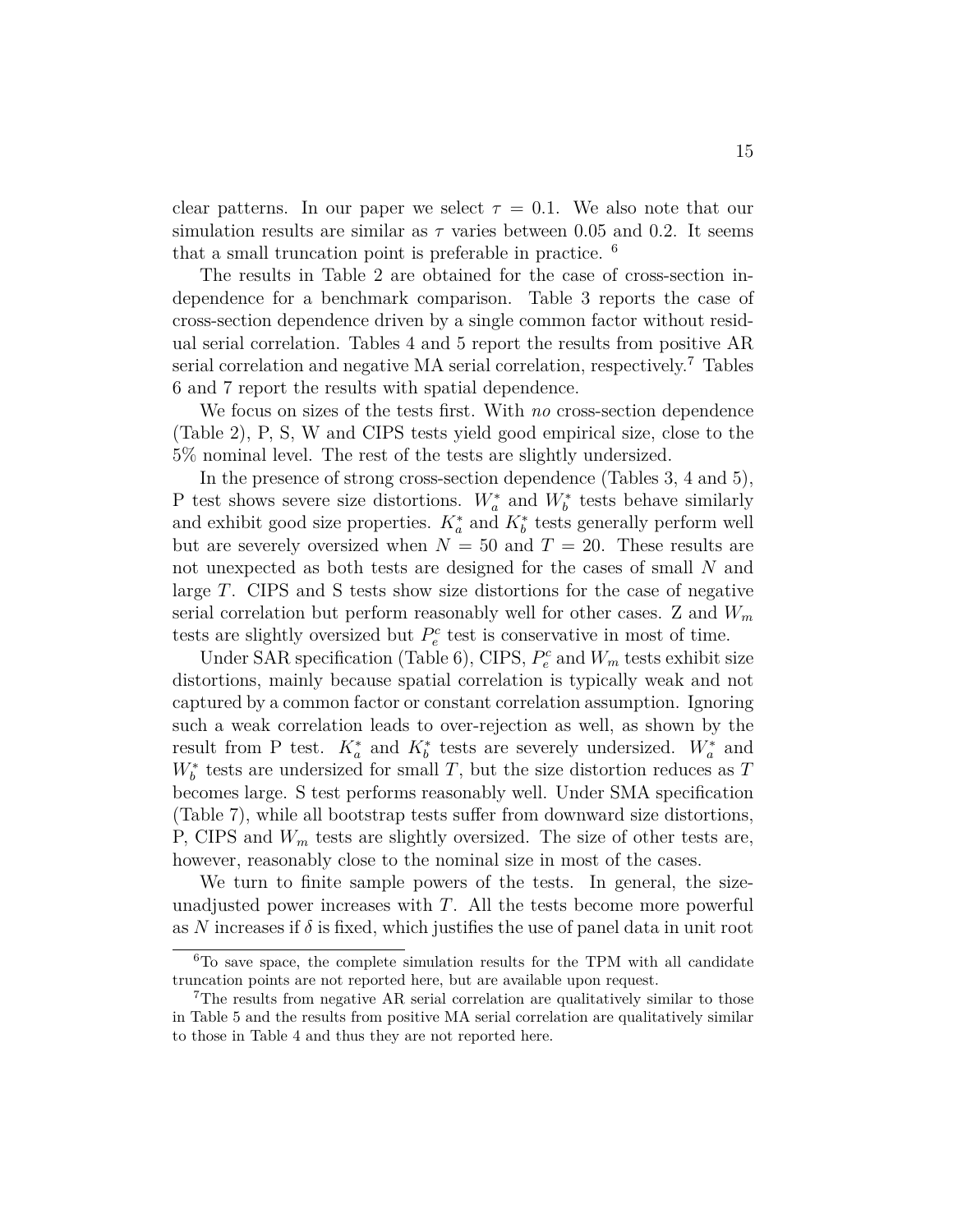clear patterns. In our paper we select  $\tau = 0.1$ . We also note that our simulation results are similar as  $\tau$  varies between 0.05 and 0.2. It seems that a small truncation point is preferable in practice. <sup>6</sup>

The results in Table 2 are obtained for the case of cross-section independence for a benchmark comparison. Table 3 reports the case of cross-section dependence driven by a single common factor without residual serial correlation. Tables 4 and 5 report the results from positive AR serial correlation and negative MA serial correlation, respectively.<sup>7</sup> Tables 6 and 7 report the results with spatial dependence.

We focus on sizes of the tests first. With *no* cross-section dependence (Table 2), P, S, W and CIPS tests yield good empirical size, close to the 5% nominal level. The rest of the tests are slightly undersized.

In the presence of strong cross-section dependence (Tables 3, 4 and 5), P test shows severe size distortions.  $W_a^*$  and  $W_b^*$  tests behave similarly and exhibit good size properties.  $K_a^*$  and  $K_b^*$  tests generally perform well but are severely oversized when  $N = 50$  and  $T = 20$ . These results are not unexpected as both tests are designed for the cases of small *N* and large *T*. CIPS and S tests show size distortions for the case of negative serial correlation but perform reasonably well for other cases. Z and *W<sup>m</sup>* tests are slightly oversized but  $P_e^c$  test is conservative in most of time.

Under SAR specification (Table 6), CIPS,  $P_e^c$  and  $W_m$  tests exhibit size distortions, mainly because spatial correlation is typically weak and not captured by a common factor or constant correlation assumption. Ignoring such a weak correlation leads to over-rejection as well, as shown by the result from P test.  $K_a^*$  and  $K_b^*$  tests are severely undersized.  $W_a^*$  and  $W_b^*$  tests are undersized for small *T*, but the size distortion reduces as *T* becomes large. S test performs reasonably well. Under SMA specification (Table 7), while all bootstrap tests suffer from downward size distortions, P, CIPS and *W<sup>m</sup>* tests are slightly oversized. The size of other tests are, however, reasonably close to the nominal size in most of the cases.

We turn to finite sample powers of the tests. In general, the sizeunadjusted power increases with *T*. All the tests become more powerful as N increases if  $\delta$  is fixed, which justifies the use of panel data in unit root

 ${}^{6}$ To save space, the complete simulation results for the TPM with all candidate truncation points are not reported here, but are available upon request.

<sup>7</sup>The results from negative AR serial correlation are qualitatively similar to those in Table 5 and the results from positive MA serial correlation are qualitatively similar to those in Table 4 and thus they are not reported here.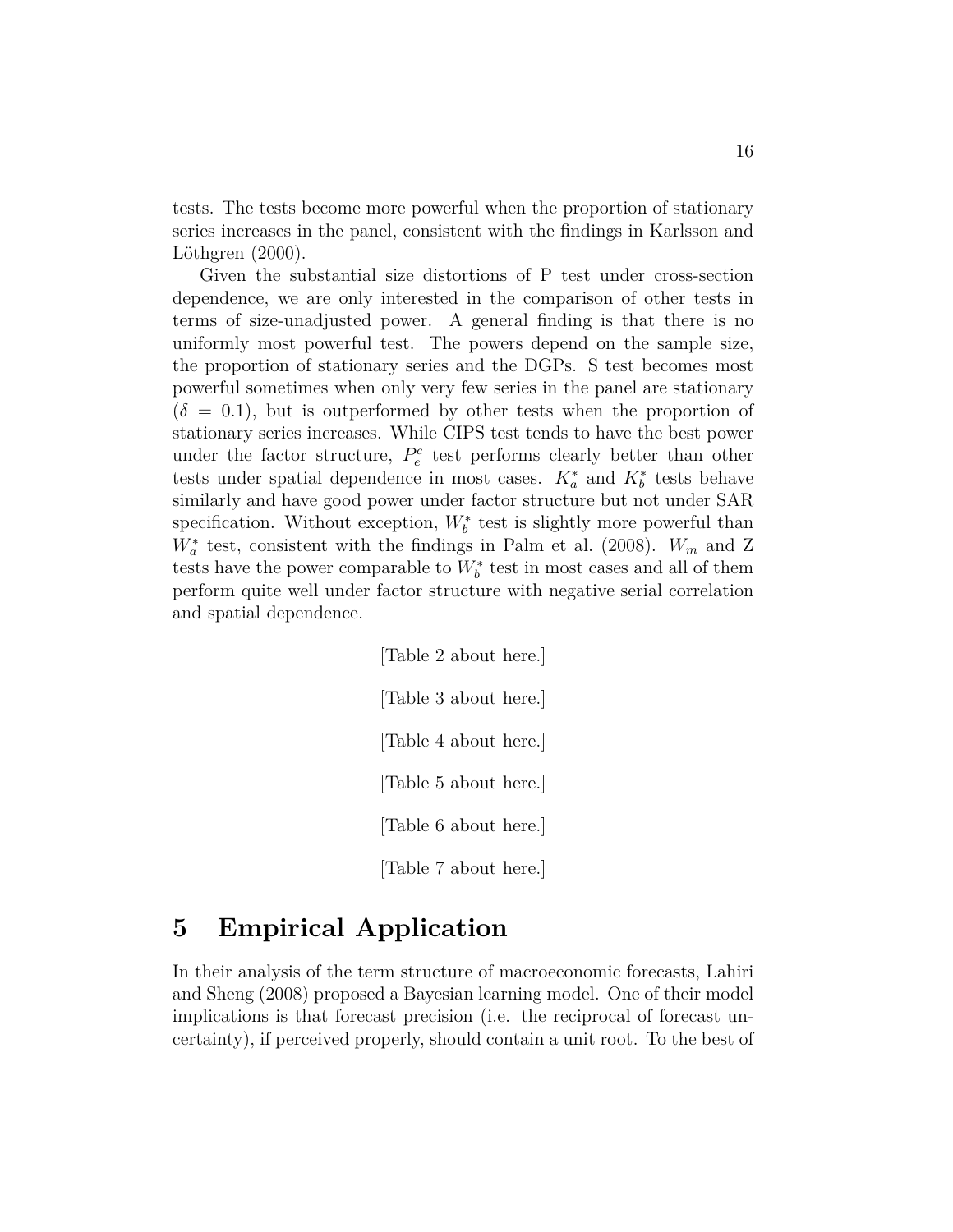tests. The tests become more powerful when the proportion of stationary series increases in the panel, consistent with the findings in Karlsson and Löthgren (2000).

Given the substantial size distortions of P test under cross-section dependence, we are only interested in the comparison of other tests in terms of size-unadjusted power. A general finding is that there is no uniformly most powerful test. The powers depend on the sample size, the proportion of stationary series and the DGPs. S test becomes most powerful sometimes when only very few series in the panel are stationary  $(\delta = 0.1)$ , but is outperformed by other tests when the proportion of stationary series increases. While CIPS test tends to have the best power under the factor structure,  $P_e^c$  test performs clearly better than other tests under spatial dependence in most cases.  $K_a^*$  and  $K_b^*$  tests behave similarly and have good power under factor structure but not under SAR specification. Without exception,  $W_b^*$  test is slightly more powerful than  $W_a^*$  test, consistent with the findings in Palm et al. (2008).  $W_m$  and Z tests have the power comparable to  $W_b^*$  test in most cases and all of them perform quite well under factor structure with negative serial correlation and spatial dependence.

> [Table 2 about here.] [Table 3 about here.] [Table 4 about here.] [Table 5 about here.] [Table 6 about here.] [Table 7 about here.]

# **5 Empirical Application**

In their analysis of the term structure of macroeconomic forecasts, Lahiri and Sheng (2008) proposed a Bayesian learning model. One of their model implications is that forecast precision (i.e. the reciprocal of forecast uncertainty), if perceived properly, should contain a unit root. To the best of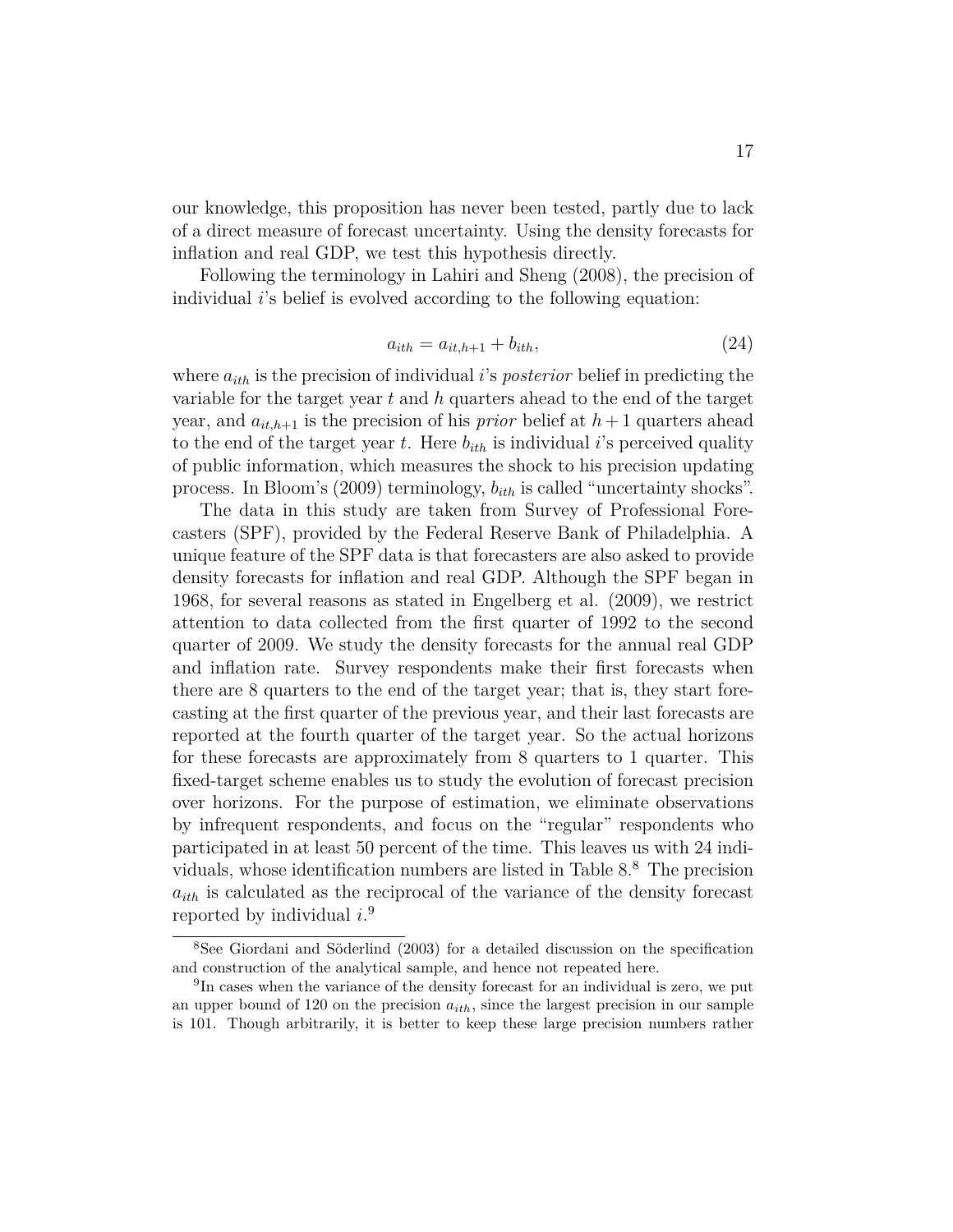our knowledge, this proposition has never been tested, partly due to lack of a direct measure of forecast uncertainty. Using the density forecasts for inflation and real GDP, we test this hypothesis directly.

Following the terminology in Lahiri and Sheng (2008), the precision of individual *i*'s belief is evolved according to the following equation:

$$
a_{ith} = a_{it,h+1} + b_{ith},\tag{24}
$$

where *aith* is the precision of individual *i*'s *posterior* belief in predicting the variable for the target year *t* and *h* quarters ahead to the end of the target year, and  $a_{it,h+1}$  is the precision of his *prior* belief at  $h+1$  quarters ahead to the end of the target year  $t$ . Here  $b_{ith}$  is individual *i*'s perceived quality of public information, which measures the shock to his precision updating process. In Bloom's (2009) terminology, *bith* is called "uncertainty shocks".

The data in this study are taken from Survey of Professional Forecasters (SPF), provided by the Federal Reserve Bank of Philadelphia. A unique feature of the SPF data is that forecasters are also asked to provide density forecasts for inflation and real GDP. Although the SPF began in 1968, for several reasons as stated in Engelberg et al. (2009), we restrict attention to data collected from the first quarter of 1992 to the second quarter of 2009. We study the density forecasts for the annual real GDP and inflation rate. Survey respondents make their first forecasts when there are 8 quarters to the end of the target year; that is, they start forecasting at the first quarter of the previous year, and their last forecasts are reported at the fourth quarter of the target year. So the actual horizons for these forecasts are approximately from 8 quarters to 1 quarter. This fixed-target scheme enables us to study the evolution of forecast precision over horizons. For the purpose of estimation, we eliminate observations by infrequent respondents, and focus on the "regular" respondents who participated in at least 50 percent of the time. This leaves us with 24 individuals, whose identification numbers are listed in Table  $8.8\text{ }^8$  The precision  $a_{ith}$  is calculated as the reciprocal of the variance of the density forecast reported by individual *i*. 9

<sup>8</sup>See Giordani and Söderlind (2003) for a detailed discussion on the specification and construction of the analytical sample, and hence not repeated here.

<sup>&</sup>lt;sup>9</sup>In cases when the variance of the density forecast for an individual is zero, we put an upper bound of 120 on the precision *aith*, since the largest precision in our sample is 101. Though arbitrarily, it is better to keep these large precision numbers rather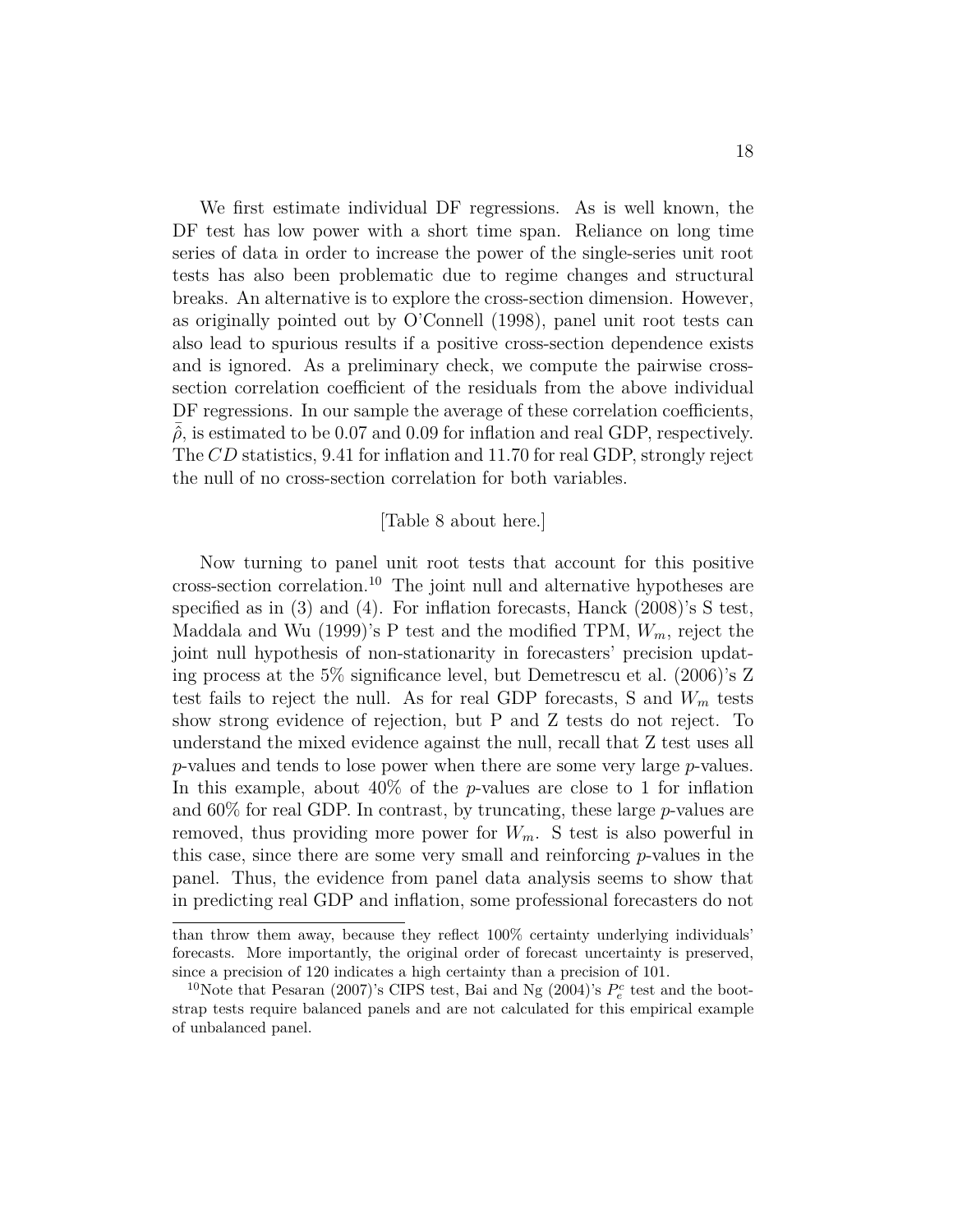We first estimate individual DF regressions. As is well known, the DF test has low power with a short time span. Reliance on long time series of data in order to increase the power of the single-series unit root tests has also been problematic due to regime changes and structural breaks. An alternative is to explore the cross-section dimension. However, as originally pointed out by O'Connell (1998), panel unit root tests can also lead to spurious results if a positive cross-section dependence exists and is ignored. As a preliminary check, we compute the pairwise crosssection correlation coefficient of the residuals from the above individual DF regressions. In our sample the average of these correlation coefficients,  $\hat{\rho}$ , is estimated to be 0.07 and 0.09 for inflation and real GDP, respectively. The *CD* statistics, 9.41 for inflation and 11.70 for real GDP, strongly reject the null of no cross-section correlation for both variables.

#### [Table 8 about here.]

Now turning to panel unit root tests that account for this positive cross-section correlation.<sup>10</sup> The joint null and alternative hypotheses are specified as in (3) and (4). For inflation forecasts, Hanck (2008)'s S test, Maddala and Wu (1999)'s P test and the modified TPM, *Wm*, reject the joint null hypothesis of non-stationarity in forecasters' precision updating process at the 5% significance level, but Demetrescu et al. (2006)'s Z test fails to reject the null. As for real GDP forecasts, S and *W<sup>m</sup>* tests show strong evidence of rejection, but P and Z tests do not reject. To understand the mixed evidence against the null, recall that Z test uses all *p*-values and tends to lose power when there are some very large *p*-values. In this example, about 40% of the *p*-values are close to 1 for inflation and 60% for real GDP. In contrast, by truncating, these large *p*-values are removed, thus providing more power for *Wm*. S test is also powerful in this case, since there are some very small and reinforcing *p*-values in the panel. Thus, the evidence from panel data analysis seems to show that in predicting real GDP and inflation, some professional forecasters do not

than throw them away, because they reflect 100% certainty underlying individuals' forecasts. More importantly, the original order of forecast uncertainty is preserved, since a precision of 120 indicates a high certainty than a precision of 101.

<sup>&</sup>lt;sup>10</sup>Note that Pesaran (2007)'s CIPS test, Bai and Ng (2004)'s  $P_e^c$  test and the bootstrap tests require balanced panels and are not calculated for this empirical example of unbalanced panel.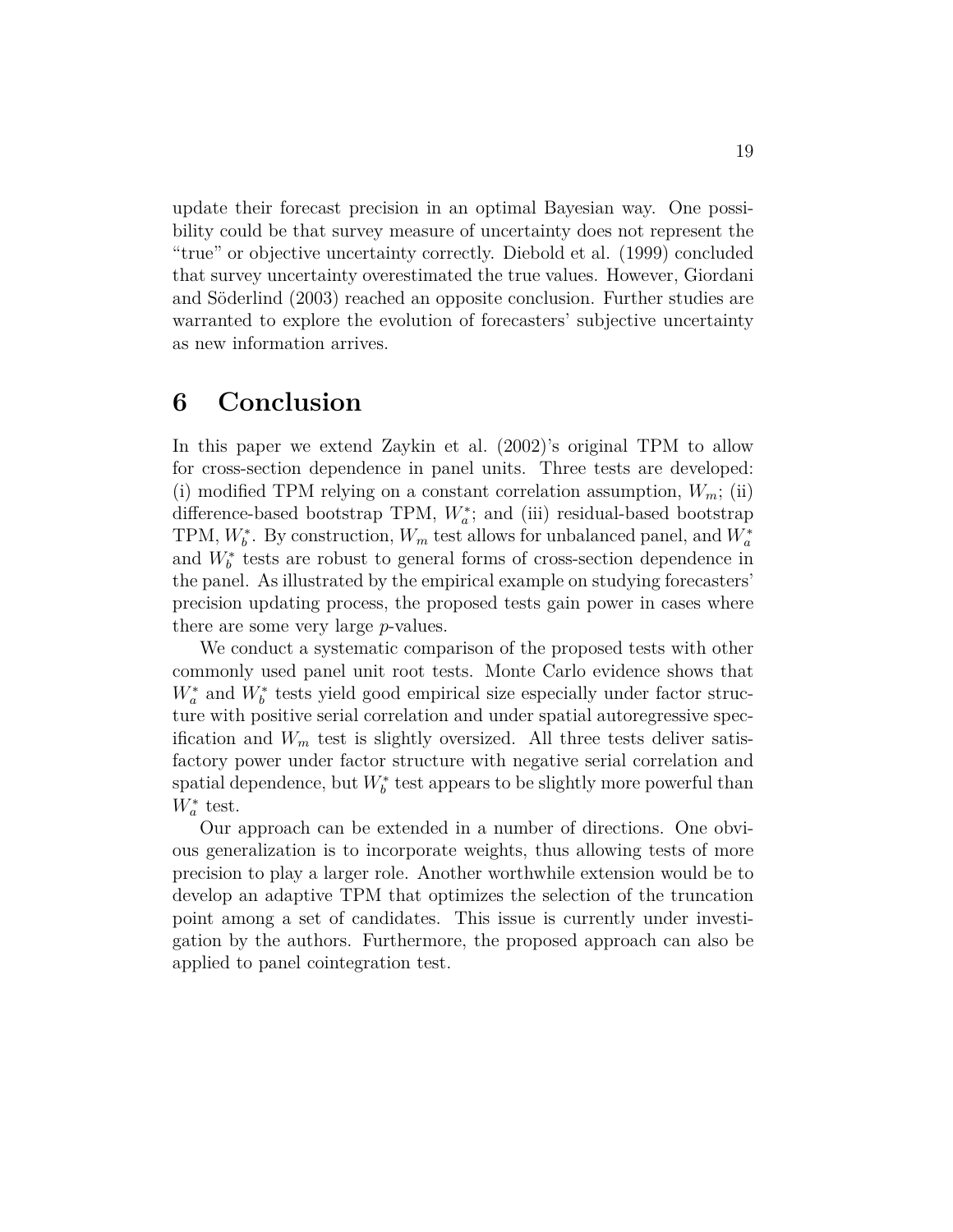update their forecast precision in an optimal Bayesian way. One possibility could be that survey measure of uncertainty does not represent the "true" or objective uncertainty correctly. Diebold et al. (1999) concluded that survey uncertainty overestimated the true values. However, Giordani and Söderlind (2003) reached an opposite conclusion. Further studies are warranted to explore the evolution of forecasters' subjective uncertainty as new information arrives.

## **6 Conclusion**

In this paper we extend Zaykin et al. (2002)'s original TPM to allow for cross-section dependence in panel units. Three tests are developed: (i) modified TPM relying on a constant correlation assumption,  $W_m$ ; (ii) difference-based bootstrap TPM,  $W_a^*$ ; and (iii) residual-based bootstrap TPM,  $W_b^*$ . By construction,  $W_m$  test allows for unbalanced panel, and  $W_a^*$ and  $W_b^*$  tests are robust to general forms of cross-section dependence in the panel. As illustrated by the empirical example on studying forecasters' precision updating process, the proposed tests gain power in cases where there are some very large *p*-values.

We conduct a systematic comparison of the proposed tests with other commonly used panel unit root tests. Monte Carlo evidence shows that  $W_a^*$  and  $W_b^*$  tests yield good empirical size especially under factor structure with positive serial correlation and under spatial autoregressive specification and  $W_m$  test is slightly oversized. All three tests deliver satisfactory power under factor structure with negative serial correlation and spatial dependence, but  $W_b^*$  test appears to be slightly more powerful than  $W^*_{a}$  test.

Our approach can be extended in a number of directions. One obvious generalization is to incorporate weights, thus allowing tests of more precision to play a larger role. Another worthwhile extension would be to develop an adaptive TPM that optimizes the selection of the truncation point among a set of candidates. This issue is currently under investigation by the authors. Furthermore, the proposed approach can also be applied to panel cointegration test.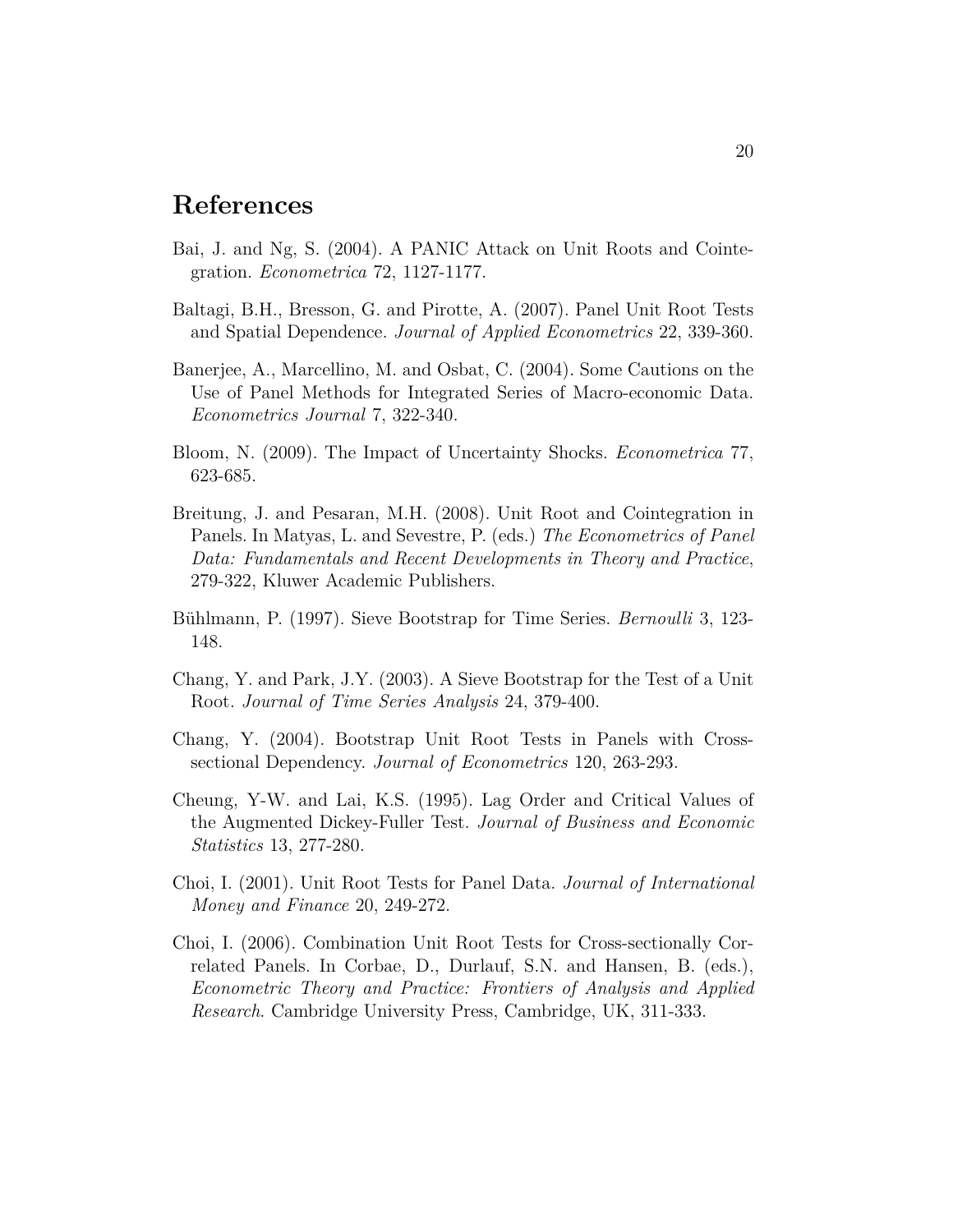### **References**

- Bai, J. and Ng, S. (2004). A PANIC Attack on Unit Roots and Cointegration. *Econometrica* 72, 1127-1177.
- Baltagi, B.H., Bresson, G. and Pirotte, A. (2007). Panel Unit Root Tests and Spatial Dependence. *Journal of Applied Econometrics* 22, 339-360.
- Banerjee, A., Marcellino, M. and Osbat, C. (2004). Some Cautions on the Use of Panel Methods for Integrated Series of Macro-economic Data. *Econometrics Journal* 7, 322-340.
- Bloom, N. (2009). The Impact of Uncertainty Shocks. *Econometrica* 77, 623-685.
- Breitung, J. and Pesaran, M.H. (2008). Unit Root and Cointegration in Panels. In Matyas, L. and Sevestre, P. (eds.) *The Econometrics of Panel Data: Fundamentals and Recent Developments in Theory and Practice*, 279-322, Kluwer Academic Publishers.
- Bühlmann, P. (1997). Sieve Bootstrap for Time Series. *Bernoulli* 3, 123- 148.
- Chang, Y. and Park, J.Y. (2003). A Sieve Bootstrap for the Test of a Unit Root. *Journal of Time Series Analysis* 24, 379-400.
- Chang, Y. (2004). Bootstrap Unit Root Tests in Panels with Crosssectional Dependency. *Journal of Econometrics* 120, 263-293.
- Cheung, Y-W. and Lai, K.S. (1995). Lag Order and Critical Values of the Augmented Dickey-Fuller Test. *Journal of Business and Economic Statistics* 13, 277-280.
- Choi, I. (2001). Unit Root Tests for Panel Data. *Journal of International Money and Finance* 20, 249-272.
- Choi, I. (2006). Combination Unit Root Tests for Cross-sectionally Correlated Panels. In Corbae, D., Durlauf, S.N. and Hansen, B. (eds.), *Econometric Theory and Practice: Frontiers of Analysis and Applied Research*. Cambridge University Press, Cambridge, UK, 311-333.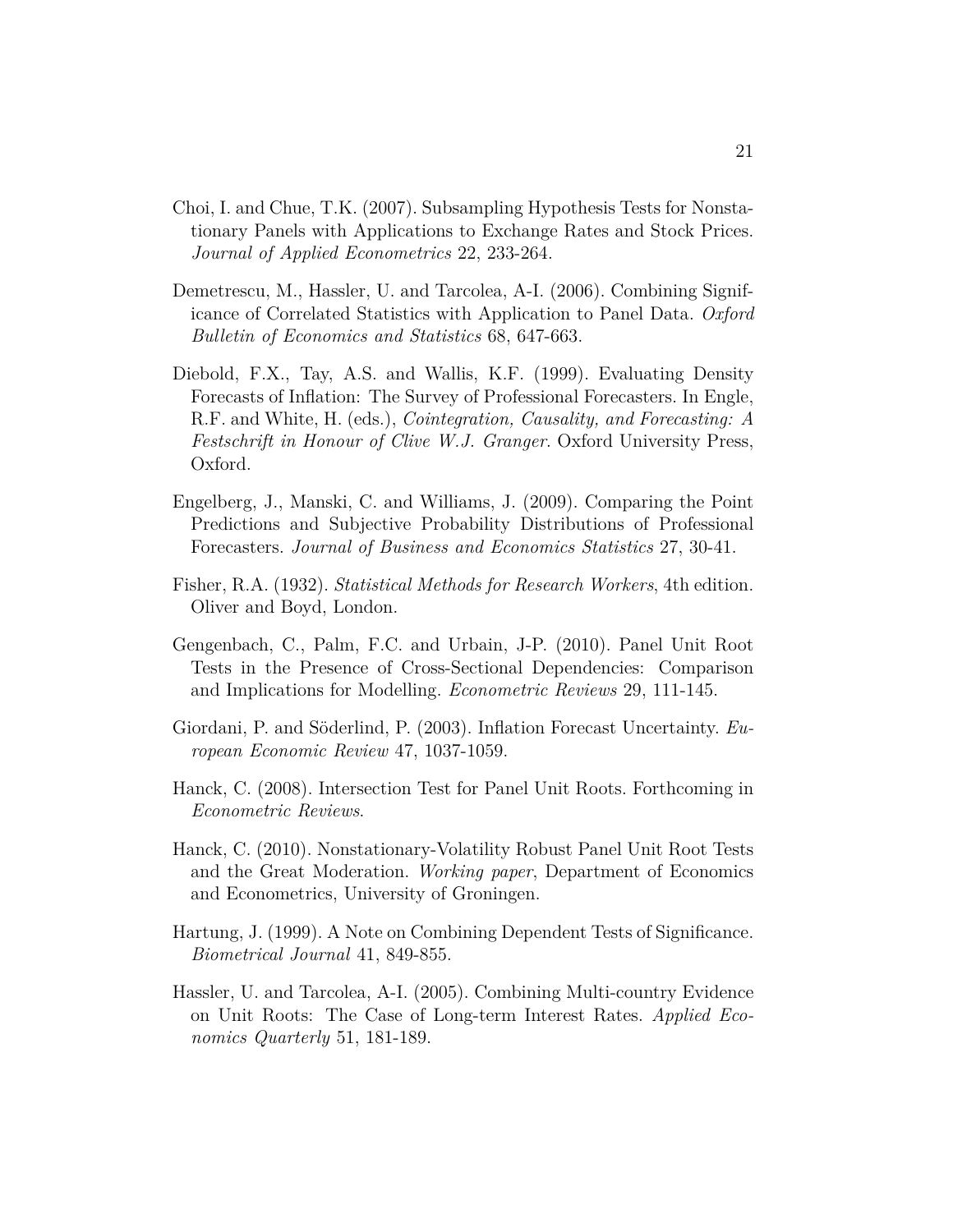- Choi, I. and Chue, T.K. (2007). Subsampling Hypothesis Tests for Nonstationary Panels with Applications to Exchange Rates and Stock Prices. *Journal of Applied Econometrics* 22, 233-264.
- Demetrescu, M., Hassler, U. and Tarcolea, A-I. (2006). Combining Significance of Correlated Statistics with Application to Panel Data. *Oxford Bulletin of Economics and Statistics* 68, 647-663.
- Diebold, F.X., Tay, A.S. and Wallis, K.F. (1999). Evaluating Density Forecasts of Inflation: The Survey of Professional Forecasters. In Engle, R.F. and White, H. (eds.), *Cointegration, Causality, and Forecasting: A Festschrift in Honour of Clive W.J. Granger*. Oxford University Press, Oxford.
- Engelberg, J., Manski, C. and Williams, J. (2009). Comparing the Point Predictions and Subjective Probability Distributions of Professional Forecasters. *Journal of Business and Economics Statistics* 27, 30-41.
- Fisher, R.A. (1932). *Statistical Methods for Research Workers*, 4th edition. Oliver and Boyd, London.
- Gengenbach, C., Palm, F.C. and Urbain, J-P. (2010). Panel Unit Root Tests in the Presence of Cross-Sectional Dependencies: Comparison and Implications for Modelling. *Econometric Reviews* 29, 111-145.
- Giordani, P. and Söderlind, P. (2003). Inflation Forecast Uncertainty. *European Economic Review* 47, 1037-1059.
- Hanck, C. (2008). Intersection Test for Panel Unit Roots. Forthcoming in *Econometric Reviews*.
- Hanck, C. (2010). Nonstationary-Volatility Robust Panel Unit Root Tests and the Great Moderation. *Working paper*, Department of Economics and Econometrics, University of Groningen.
- Hartung, J. (1999). A Note on Combining Dependent Tests of Significance. *Biometrical Journal* 41, 849-855.
- Hassler, U. and Tarcolea, A-I. (2005). Combining Multi-country Evidence on Unit Roots: The Case of Long-term Interest Rates. *Applied Economics Quarterly* 51, 181-189.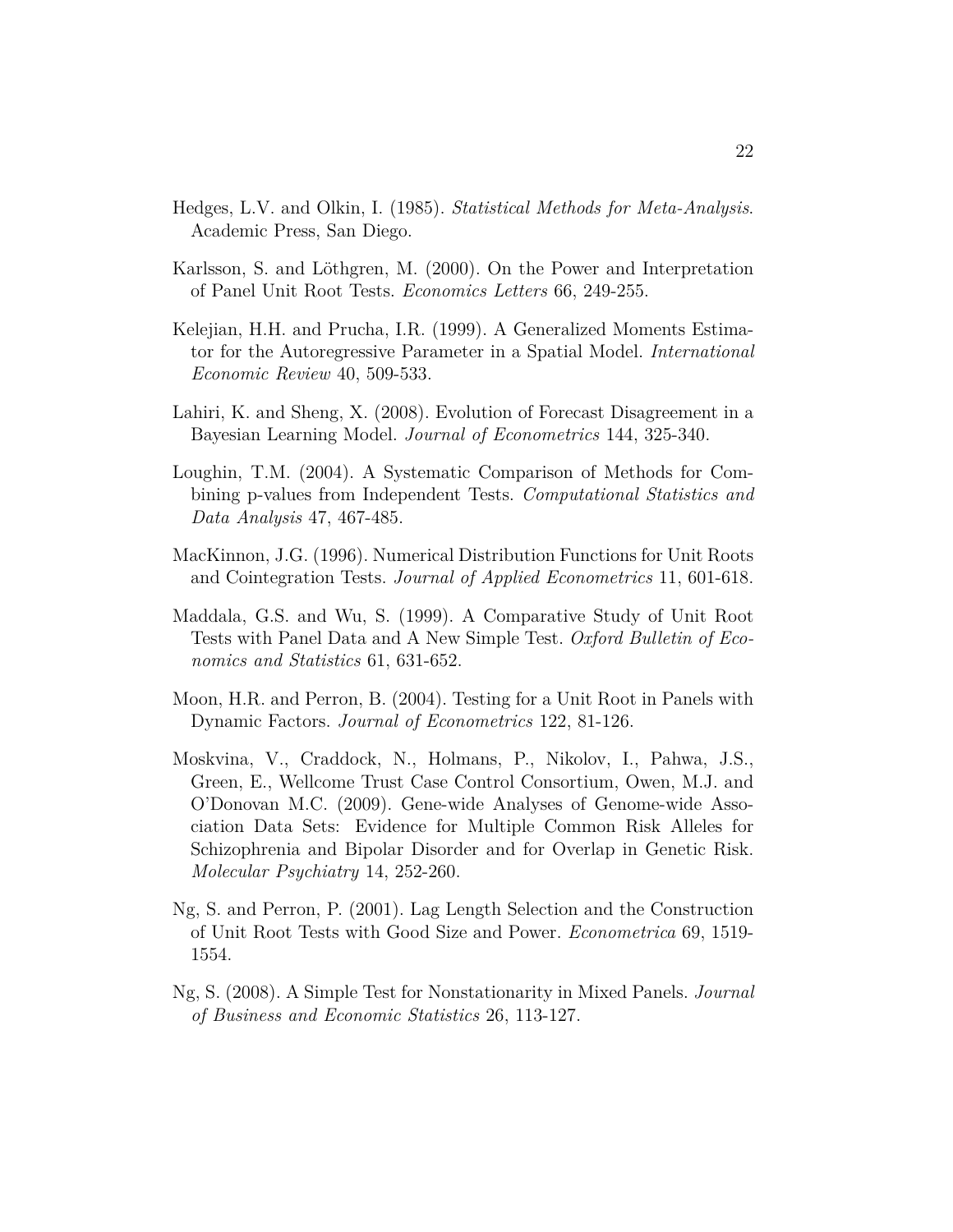- Hedges, L.V. and Olkin, I. (1985). *Statistical Methods for Meta-Analysis*. Academic Press, San Diego.
- Karlsson, S. and Löthgren, M. (2000). On the Power and Interpretation of Panel Unit Root Tests. *Economics Letters* 66, 249-255.
- Kelejian, H.H. and Prucha, I.R. (1999). A Generalized Moments Estimator for the Autoregressive Parameter in a Spatial Model. *International Economic Review* 40, 509-533.
- Lahiri, K. and Sheng, X. (2008). Evolution of Forecast Disagreement in a Bayesian Learning Model. *Journal of Econometrics* 144, 325-340.
- Loughin, T.M. (2004). A Systematic Comparison of Methods for Combining p-values from Independent Tests. *Computational Statistics and Data Analysis* 47, 467-485.
- MacKinnon, J.G. (1996). Numerical Distribution Functions for Unit Roots and Cointegration Tests. *Journal of Applied Econometrics* 11, 601-618.
- Maddala, G.S. and Wu, S. (1999). A Comparative Study of Unit Root Tests with Panel Data and A New Simple Test. *Oxford Bulletin of Economics and Statistics* 61, 631-652.
- Moon, H.R. and Perron, B. (2004). Testing for a Unit Root in Panels with Dynamic Factors. *Journal of Econometrics* 122, 81-126.
- Moskvina, V., Craddock, N., Holmans, P., Nikolov, I., Pahwa, J.S., Green, E., Wellcome Trust Case Control Consortium, Owen, M.J. and O'Donovan M.C. (2009). Gene-wide Analyses of Genome-wide Association Data Sets: Evidence for Multiple Common Risk Alleles for Schizophrenia and Bipolar Disorder and for Overlap in Genetic Risk. *Molecular Psychiatry* 14, 252-260.
- Ng, S. and Perron, P. (2001). Lag Length Selection and the Construction of Unit Root Tests with Good Size and Power. *Econometrica* 69, 1519- 1554.
- Ng, S. (2008). A Simple Test for Nonstationarity in Mixed Panels. *Journal of Business and Economic Statistics* 26, 113-127.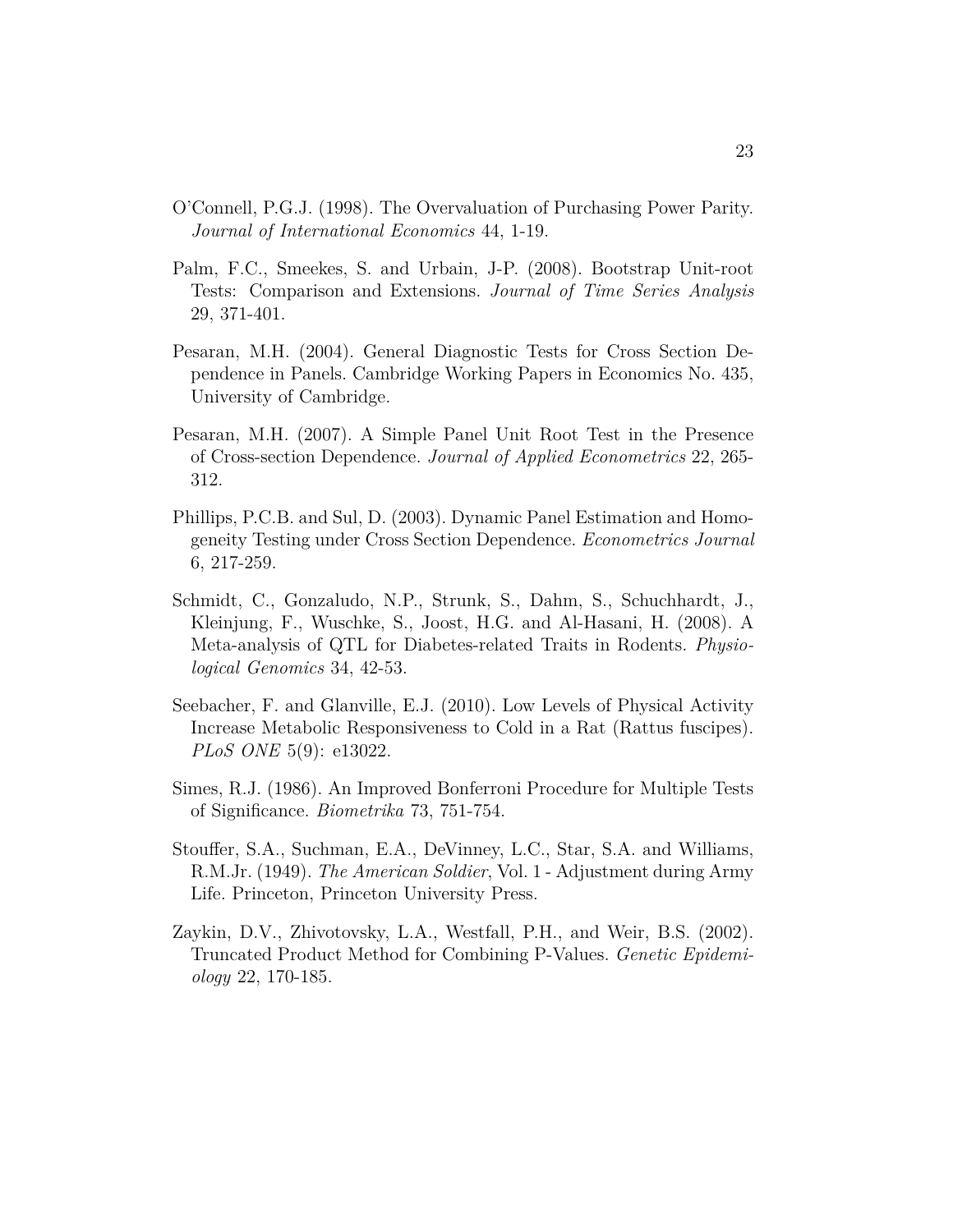- O'Connell, P.G.J. (1998). The Overvaluation of Purchasing Power Parity. *Journal of International Economics* 44, 1-19.
- Palm, F.C., Smeekes, S. and Urbain, J-P. (2008). Bootstrap Unit-root Tests: Comparison and Extensions. *Journal of Time Series Analysis* 29, 371-401.
- Pesaran, M.H. (2004). General Diagnostic Tests for Cross Section Dependence in Panels. Cambridge Working Papers in Economics No. 435, University of Cambridge.
- Pesaran, M.H. (2007). A Simple Panel Unit Root Test in the Presence of Cross-section Dependence. *Journal of Applied Econometrics* 22, 265- 312.
- Phillips, P.C.B. and Sul, D. (2003). Dynamic Panel Estimation and Homogeneity Testing under Cross Section Dependence. *Econometrics Journal* 6, 217-259.
- Schmidt, C., Gonzaludo, N.P., Strunk, S., Dahm, S., Schuchhardt, J., Kleinjung, F., Wuschke, S., Joost, H.G. and Al-Hasani, H. (2008). A Meta-analysis of QTL for Diabetes-related Traits in Rodents. *Physiological Genomics* 34, 42-53.
- Seebacher, F. and Glanville, E.J. (2010). Low Levels of Physical Activity Increase Metabolic Responsiveness to Cold in a Rat (Rattus fuscipes). *PLoS ONE* 5(9): e13022.
- Simes, R.J. (1986). An Improved Bonferroni Procedure for Multiple Tests of Significance. *Biometrika* 73, 751-754.
- Stouffer, S.A., Suchman, E.A., DeVinney, L.C., Star, S.A. and Williams, R.M.Jr. (1949). *The American Soldier*, Vol. 1 - Adjustment during Army Life. Princeton, Princeton University Press.
- Zaykin, D.V., Zhivotovsky, L.A., Westfall, P.H., and Weir, B.S. (2002). Truncated Product Method for Combining P-Values. *Genetic Epidemiology* 22, 170-185.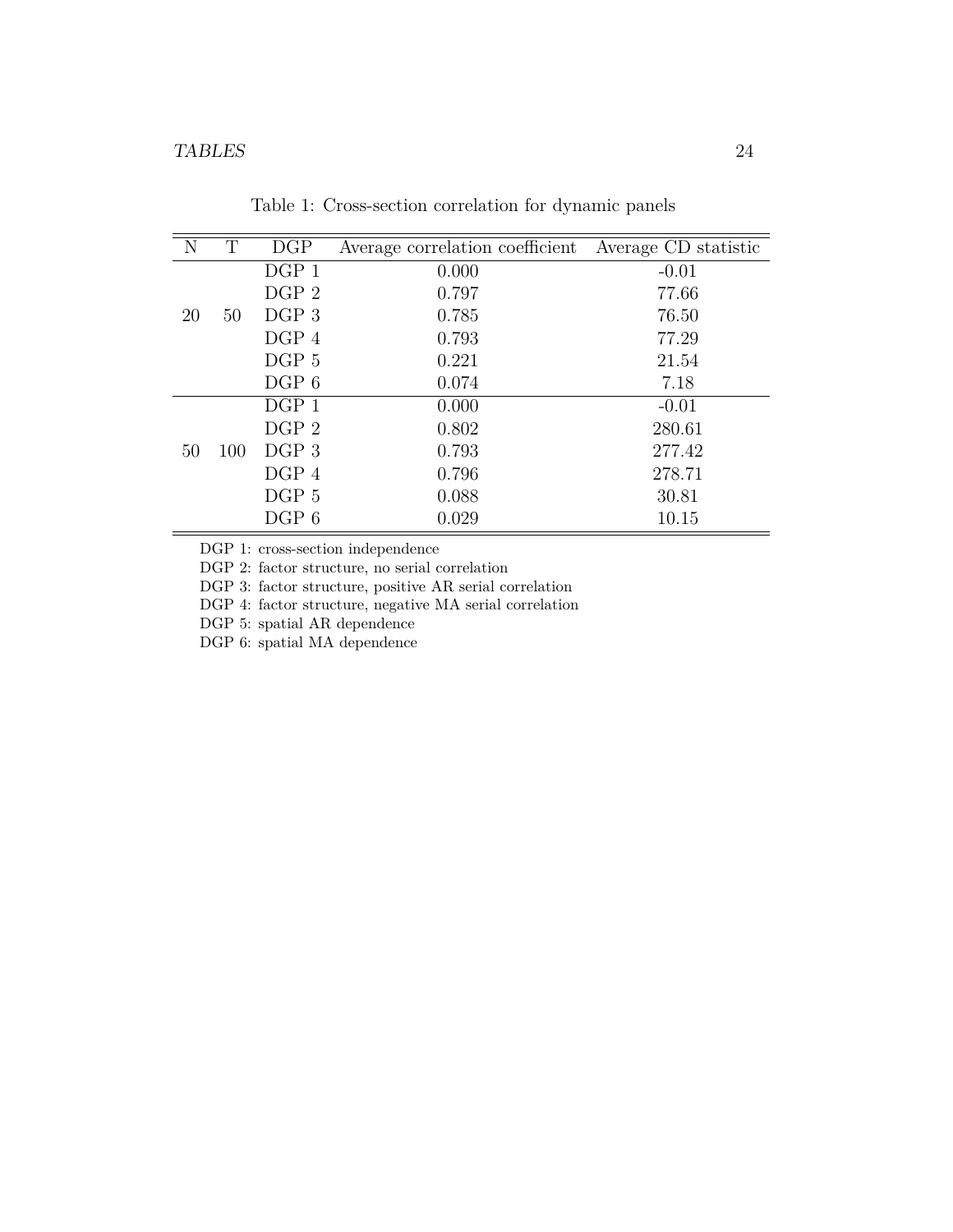| N  | T   | DGP              | Average correlation coefficient | Average CD statistic |
|----|-----|------------------|---------------------------------|----------------------|
|    |     | $DGP_1$          | 0.000                           | $-0.01$              |
|    |     | DGP <sub>2</sub> | 0.797                           | 77.66                |
| 20 | 50  | DGP <sub>3</sub> | 0.785                           | 76.50                |
|    |     | DGP 4            | 0.793                           | 77.29                |
|    |     | DGP 5            | 0.221                           | 21.54                |
|    |     | DGP 6            | 0.074                           | 7.18                 |
|    |     | $DGP_1$          | 0.000                           | $-0.01$              |
|    |     | DGP <sub>2</sub> | 0.802                           | 280.61               |
| 50 | 100 | DGP 3            | 0.793                           | 277.42               |
|    |     | DGP 4            | 0.796                           | 278.71               |
|    |     | DGP 5            | 0.088                           | 30.81                |
|    |     | DGP 6            | 0.029                           | 10.15                |

Table 1: Cross-section correlation for dynamic panels

DGP 1: cross-section independence

DGP 2: factor structure, no serial correlation

DGP 3: factor structure, positive AR serial correlation

DGP 4: factor structure, negative MA serial correlation

DGP 5: spatial AR dependence

DGP 6: spatial MA dependence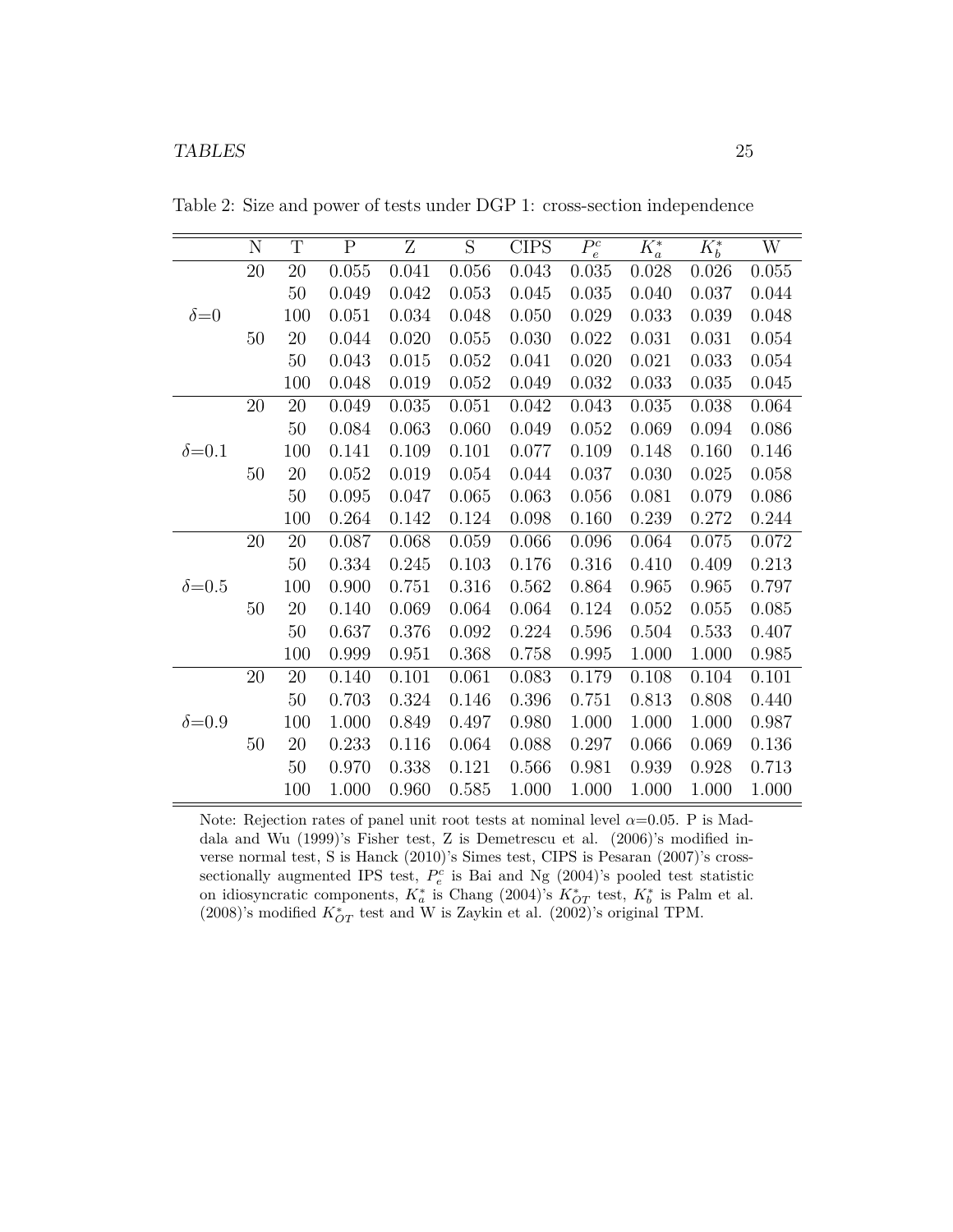|                | $\mathbf N$ | $\mathbf T$ | $\boldsymbol{\mathrm{P}}$ | Ζ     | S     | <b>CIPS</b> | $P_e^c$   | $K^*_a$ | $K_b^*$ | W     |
|----------------|-------------|-------------|---------------------------|-------|-------|-------------|-----------|---------|---------|-------|
|                | 20          | 20          | 0.055                     | 0.041 | 0.056 | 0.043       | 0.035     | 0.028   | 0.026   | 0.055 |
|                |             | 50          | 0.049                     | 0.042 | 0.053 | 0.045       | 0.035     | 0.040   | 0.037   | 0.044 |
| $\delta = 0$   |             | 100         | 0.051                     | 0.034 | 0.048 | 0.050       | 0.029     | 0.033   | 0.039   | 0.048 |
|                | 50          | 20          | 0.044                     | 0.020 | 0.055 | 0.030       | 0.022     | 0.031   | 0.031   | 0.054 |
|                |             | $50\,$      | 0.043                     | 0.015 | 0.052 | 0.041       | 0.020     | 0.021   | 0.033   | 0.054 |
|                |             | 100         | 0.048                     | 0.019 | 0.052 | 0.049       | 0.032     | 0.033   | 0.035   | 0.045 |
|                | $20\,$      | $20\,$      | 0.049                     | 0.035 | 0.051 | 0.042       | 0.043     | 0.035   | 0.038   | 0.064 |
|                |             | 50          | 0.084                     | 0.063 | 0.060 | 0.049       | 0.052     | 0.069   | 0.094   | 0.086 |
| $\delta = 0.1$ |             | 100         | 0.141                     | 0.109 | 0.101 | 0.077       | 0.109     | 0.148   | 0.160   | 0.146 |
|                | 50          | 20          | 0.052                     | 0.019 | 0.054 | 0.044       | 0.037     | 0.030   | 0.025   | 0.058 |
|                |             | 50          | 0.095                     | 0.047 | 0.065 | 0.063       | 0.056     | 0.081   | 0.079   | 0.086 |
|                |             | 100         | 0.264                     | 0.142 | 0.124 | 0.098       | 0.160     | 0.239   | 0.272   | 0.244 |
|                | $20\,$      | $20\,$      | 0.087                     | 0.068 | 0.059 | 0.066       | 0.096     | 0.064   | 0.075   | 0.072 |
|                |             | 50          | 0.334                     | 0.245 | 0.103 | 0.176       | 0.316     | 0.410   | 0.409   | 0.213 |
| $\delta = 0.5$ |             | 100         | 0.900                     | 0.751 | 0.316 | 0.562       | 0.864     | 0.965   | 0.965   | 0.797 |
|                | 50          | 20          | 0.140                     | 0.069 | 0.064 | 0.064       | 0.124     | 0.052   | 0.055   | 0.085 |
|                |             | $50\,$      | 0.637                     | 0.376 | 0.092 | 0.224       | 0.596     | 0.504   | 0.533   | 0.407 |
|                |             | 100         | 0.999                     | 0.951 | 0.368 | 0.758       | $0.995\,$ | 1.000   | 1.000   | 0.985 |
|                | $20\,$      | 20          | 0.140                     | 0.101 | 0.061 | 0.083       | 0.179     | 0.108   | 0.104   | 0.101 |
|                |             | $50\,$      | 0.703                     | 0.324 | 0.146 | 0.396       | 0.751     | 0.813   | 0.808   | 0.440 |
| $\delta = 0.9$ |             | 100         | 1.000                     | 0.849 | 0.497 | 0.980       | 1.000     | 1.000   | 1.000   | 0.987 |
|                | 50          | 20          | 0.233                     | 0.116 | 0.064 | 0.088       | 0.297     | 0.066   | 0.069   | 0.136 |
|                |             | $50\,$      | 0.970                     | 0.338 | 0.121 | 0.566       | 0.981     | 0.939   | 0.928   | 0.713 |
|                |             | 100         | 1.000                     | 0.960 | 0.585 | 1.000       | 1.000     | 1.000   | 1.000   | 1.000 |

Table 2: Size and power of tests under DGP 1: cross-section independence

Note: Rejection rates of panel unit root tests at nominal level  $\alpha$ =0.05. P is Maddala and Wu (1999)'s Fisher test, Z is Demetrescu et al. (2006)'s modified inverse normal test, S is Hanck (2010)'s Simes test, CIPS is Pesaran (2007)'s crosssectionally augmented IPS test,  $P_e^c$  is Bai and Ng (2004)'s pooled test statistic on idiosyncratic components,  $K_a^*$  is Chang (2004)'s  $K_{OT}^*$  test,  $K_b^*$  is Palm et al. (2008)'s modified  $K_{OT}^*$  test and W is Zaykin et al. (2002)'s original TPM.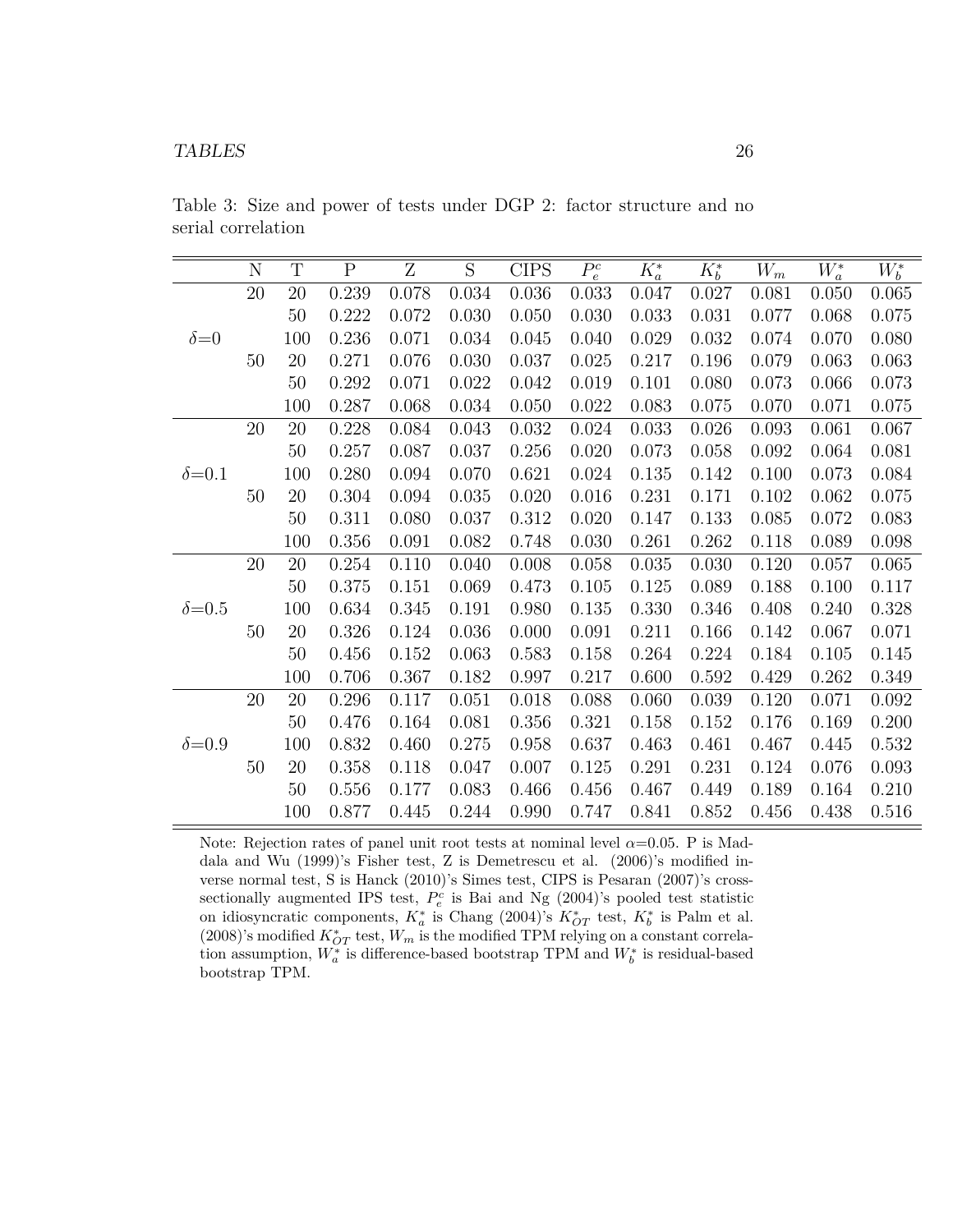|                | N      | $\mathbf T$ | $\overline{P}$ | $\overline{\mathrm{Z}}$ | $\overline{S}$ | <b>CIPS</b> | $P_e^c$ | $K_a^*$ | $K_b^*$ | $W_m$ | $W_a^*$ | $W_b^*$ |
|----------------|--------|-------------|----------------|-------------------------|----------------|-------------|---------|---------|---------|-------|---------|---------|
|                | $20\,$ | 20          | 0.239          | 0.078                   | 0.034          | 0.036       | 0.033   | 0.047   | 0.027   | 0.081 | 0.050   | 0.065   |
|                |        | 50          | 0.222          | 0.072                   | 0.030          | 0.050       | 0.030   | 0.033   | 0.031   | 0.077 | 0.068   | 0.075   |
| $\delta = 0$   |        | 100         | 0.236          | 0.071                   | 0.034          | 0.045       | 0.040   | 0.029   | 0.032   | 0.074 | 0.070   | 0.080   |
|                | 50     | $20\,$      | 0.271          | 0.076                   | 0.030          | 0.037       | 0.025   | 0.217   | 0.196   | 0.079 | 0.063   | 0.063   |
|                |        | $50\,$      | 0.292          | 0.071                   | 0.022          | 0.042       | 0.019   | 0.101   | 0.080   | 0.073 | 0.066   | 0.073   |
|                |        | 100         | 0.287          | 0.068                   | 0.034          | 0.050       | 0.022   | 0.083   | 0.075   | 0.070 | 0.071   | 0.075   |
|                | $20\,$ | $20\,$      | 0.228          | 0.084                   | 0.043          | 0.032       | 0.024   | 0.033   | 0.026   | 0.093 | 0.061   | 0.067   |
|                |        | 50          | 0.257          | 0.087                   | 0.037          | 0.256       | 0.020   | 0.073   | 0.058   | 0.092 | 0.064   | 0.081   |
| $\delta = 0.1$ |        | 100         | 0.280          | 0.094                   | 0.070          | 0.621       | 0.024   | 0.135   | 0.142   | 0.100 | 0.073   | 0.084   |
|                | $50\,$ | 20          | 0.304          | 0.094                   | 0.035          | 0.020       | 0.016   | 0.231   | 0.171   | 0.102 | 0.062   | 0.075   |
|                |        | 50          | 0.311          | 0.080                   | 0.037          | 0.312       | 0.020   | 0.147   | 0.133   | 0.085 | 0.072   | 0.083   |
|                |        | 100         | 0.356          | 0.091                   | 0.082          | 0.748       | 0.030   | 0.261   | 0.262   | 0.118 | 0.089   | 0.098   |
|                | $20\,$ | 20          | 0.254          | 0.110                   | 0.040          | 0.008       | 0.058   | 0.035   | 0.030   | 0.120 | 0.057   | 0.065   |
|                |        | 50          | 0.375          | 0.151                   | 0.069          | 0.473       | 0.105   | 0.125   | 0.089   | 0.188 | 0.100   | 0.117   |
| $\delta = 0.5$ |        | 100         | 0.634          | 0.345                   | 0.191          | 0.980       | 0.135   | 0.330   | 0.346   | 0.408 | 0.240   | 0.328   |
|                | 50     | 20          | 0.326          | 0.124                   | 0.036          | 0.000       | 0.091   | 0.211   | 0.166   | 0.142 | 0.067   | 0.071   |
|                |        | 50          | 0.456          | 0.152                   | 0.063          | 0.583       | 0.158   | 0.264   | 0.224   | 0.184 | 0.105   | 0.145   |
|                |        | 100         | 0.706          | 0.367                   | 0.182          | 0.997       | 0.217   | 0.600   | 0.592   | 0.429 | 0.262   | 0.349   |
|                | $20\,$ | $20\,$      | 0.296          | 0.117                   | 0.051          | 0.018       | 0.088   | 0.060   | 0.039   | 0.120 | 0.071   | 0.092   |
|                |        | 50          | 0.476          | 0.164                   | 0.081          | 0.356       | 0.321   | 0.158   | 0.152   | 0.176 | 0.169   | 0.200   |
| $\delta = 0.9$ |        | 100         | 0.832          | 0.460                   | 0.275          | 0.958       | 0.637   | 0.463   | 0.461   | 0.467 | 0.445   | 0.532   |
|                | 50     | 20          | 0.358          | 0.118                   | 0.047          | 0.007       | 0.125   | 0.291   | 0.231   | 0.124 | 0.076   | 0.093   |
|                |        | 50          | 0.556          | 0.177                   | 0.083          | 0.466       | 0.456   | 0.467   | 0.449   | 0.189 | 0.164   | 0.210   |
|                |        | 100         | 0.877          | 0.445                   | 0.244          | 0.990       | 0.747   | 0.841   | 0.852   | 0.456 | 0.438   | 0.516   |

Table 3: Size and power of tests under DGP 2: factor structure and no serial correlation

Note: Rejection rates of panel unit root tests at nominal level  $\alpha$ =0.05. P is Maddala and Wu (1999)'s Fisher test, Z is Demetrescu et al. (2006)'s modified inverse normal test, S is Hanck (2010)'s Simes test, CIPS is Pesaran (2007)'s crosssectionally augmented IPS test,  $P_e^c$  is Bai and Ng (2004)'s pooled test statistic on idiosyncratic components,  $K_a^*$  is Chang (2004)'s  $K_{OT}^*$  test,  $K_b^*$  is Palm et al. (2008)'s modified  $K_{OT}^*$  test,  $W_m$  is the modified TPM relying on a constant correlation assumption,  $W_a^*$  is difference-based bootstrap TPM and  $W_b^*$  is residual-based bootstrap TPM.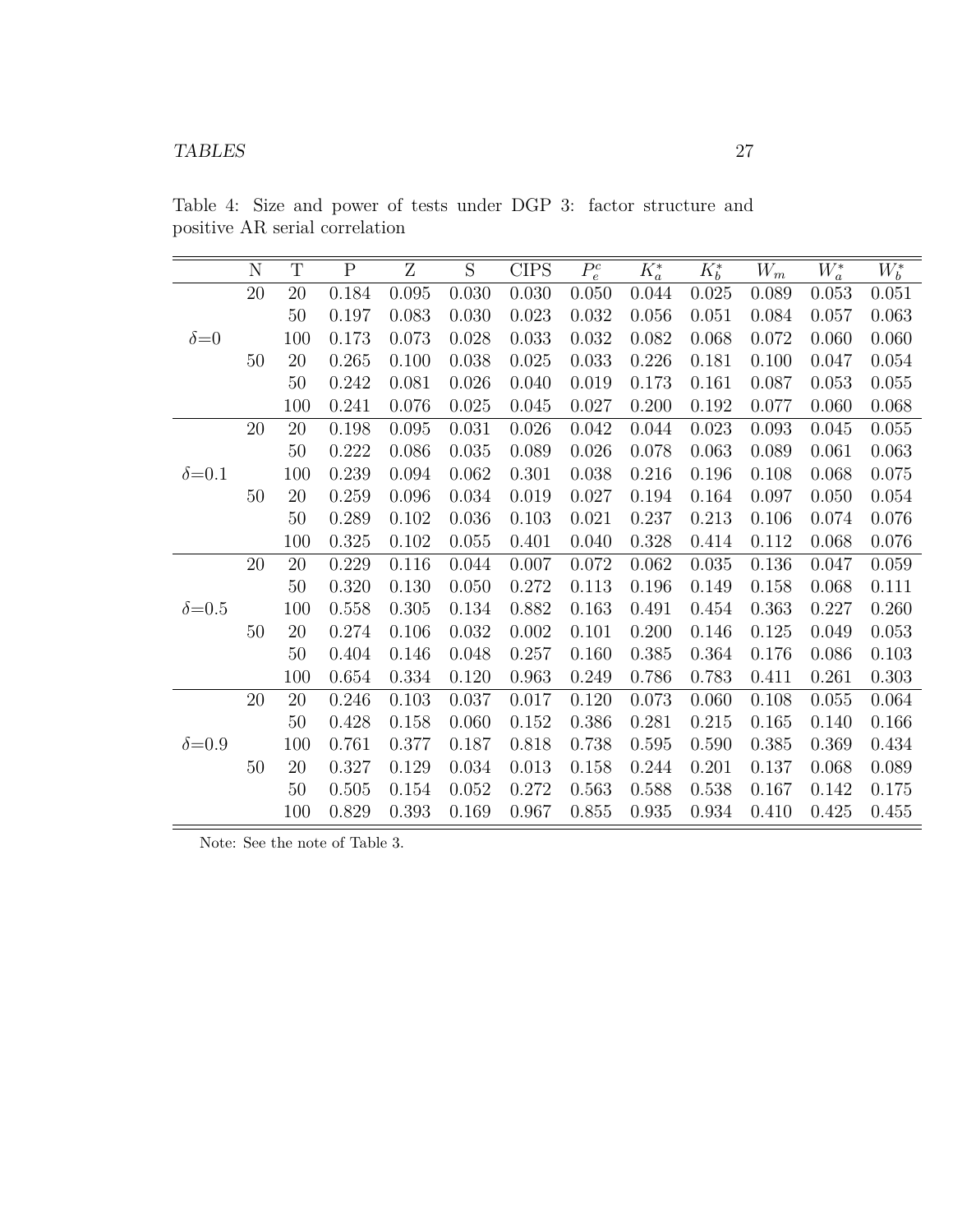|                | N      | $\mathbf T$ | $\overline{P}$ | $\overline{\mathrm{Z}}$ | $\overline{S}$ | <b>CIPS</b> | $P_e^c$ | $\overline{K^*_a}$ | $K_b^*$ | $W_m$ | $W_a^*$ | $W_b^*$ |
|----------------|--------|-------------|----------------|-------------------------|----------------|-------------|---------|--------------------|---------|-------|---------|---------|
|                | $20\,$ | 20          | 0.184          | 0.095                   | 0.030          | 0.030       | 0.050   | 0.044              | 0.025   | 0.089 | 0.053   | 0.051   |
|                |        | $50\,$      | 0.197          | 0.083                   | 0.030          | 0.023       | 0.032   | 0.056              | 0.051   | 0.084 | 0.057   | 0.063   |
| $\delta = 0$   |        | 100         | 0.173          | 0.073                   | 0.028          | 0.033       | 0.032   | 0.082              | 0.068   | 0.072 | 0.060   | 0.060   |
|                | 50     | 20          | 0.265          | 0.100                   | 0.038          | 0.025       | 0.033   | 0.226              | 0.181   | 0.100 | 0.047   | 0.054   |
|                |        | $50\,$      | 0.242          | 0.081                   | 0.026          | 0.040       | 0.019   | 0.173              | 0.161   | 0.087 | 0.053   | 0.055   |
|                |        | 100         | 0.241          | 0.076                   | 0.025          | 0.045       | 0.027   | 0.200              | 0.192   | 0.077 | 0.060   | 0.068   |
|                | $20\,$ | $20\,$      | 0.198          | 0.095                   | 0.031          | 0.026       | 0.042   | 0.044              | 0.023   | 0.093 | 0.045   | 0.055   |
|                |        | $50\,$      | 0.222          | 0.086                   | 0.035          | 0.089       | 0.026   | 0.078              | 0.063   | 0.089 | 0.061   | 0.063   |
| $\delta = 0.1$ |        | 100         | 0.239          | 0.094                   | 0.062          | 0.301       | 0.038   | 0.216              | 0.196   | 0.108 | 0.068   | 0.075   |
|                | 50     | $20\,$      | 0.259          | 0.096                   | 0.034          | 0.019       | 0.027   | 0.194              | 0.164   | 0.097 | 0.050   | 0.054   |
|                |        | 50          | 0.289          | 0.102                   | 0.036          | 0.103       | 0.021   | 0.237              | 0.213   | 0.106 | 0.074   | 0.076   |
|                |        | 100         | 0.325          | 0.102                   | 0.055          | 0.401       | 0.040   | 0.328              | 0.414   | 0.112 | 0.068   | 0.076   |
|                | 20     | $20\,$      | 0.229          | 0.116                   | 0.044          | 0.007       | 0.072   | 0.062              | 0.035   | 0.136 | 0.047   | 0.059   |
|                |        | 50          | 0.320          | 0.130                   | 0.050          | 0.272       | 0.113   | 0.196              | 0.149   | 0.158 | 0.068   | 0.111   |
| $\delta = 0.5$ |        | 100         | 0.558          | 0.305                   | 0.134          | 0.882       | 0.163   | 0.491              | 0.454   | 0.363 | 0.227   | 0.260   |
|                | 50     | 20          | 0.274          | 0.106                   | 0.032          | 0.002       | 0.101   | 0.200              | 0.146   | 0.125 | 0.049   | 0.053   |
|                |        | 50          | 0.404          | 0.146                   | 0.048          | 0.257       | 0.160   | 0.385              | 0.364   | 0.176 | 0.086   | 0.103   |
|                |        | 100         | 0.654          | 0.334                   | 0.120          | 0.963       | 0.249   | 0.786              | 0.783   | 0.411 | 0.261   | 0.303   |
|                | 20     | 20          | 0.246          | 0.103                   | 0.037          | 0.017       | 0.120   | 0.073              | 0.060   | 0.108 | 0.055   | 0.064   |
|                |        | 50          | 0.428          | 0.158                   | 0.060          | 0.152       | 0.386   | 0.281              | 0.215   | 0.165 | 0.140   | 0.166   |
| $\delta = 0.9$ |        | 100         | 0.761          | 0.377                   | 0.187          | 0.818       | 0.738   | 0.595              | 0.590   | 0.385 | 0.369   | 0.434   |
|                | 50     | 20          | 0.327          | 0.129                   | 0.034          | 0.013       | 0.158   | 0.244              | 0.201   | 0.137 | 0.068   | 0.089   |
|                |        | $50\,$      | 0.505          | 0.154                   | 0.052          | 0.272       | 0.563   | 0.588              | 0.538   | 0.167 | 0.142   | 0.175   |
|                |        | 100         | 0.829          | 0.393                   | 0.169          | 0.967       | 0.855   | 0.935              | 0.934   | 0.410 | 0.425   | 0.455   |

Table 4: Size and power of tests under DGP 3: factor structure and positive AR serial correlation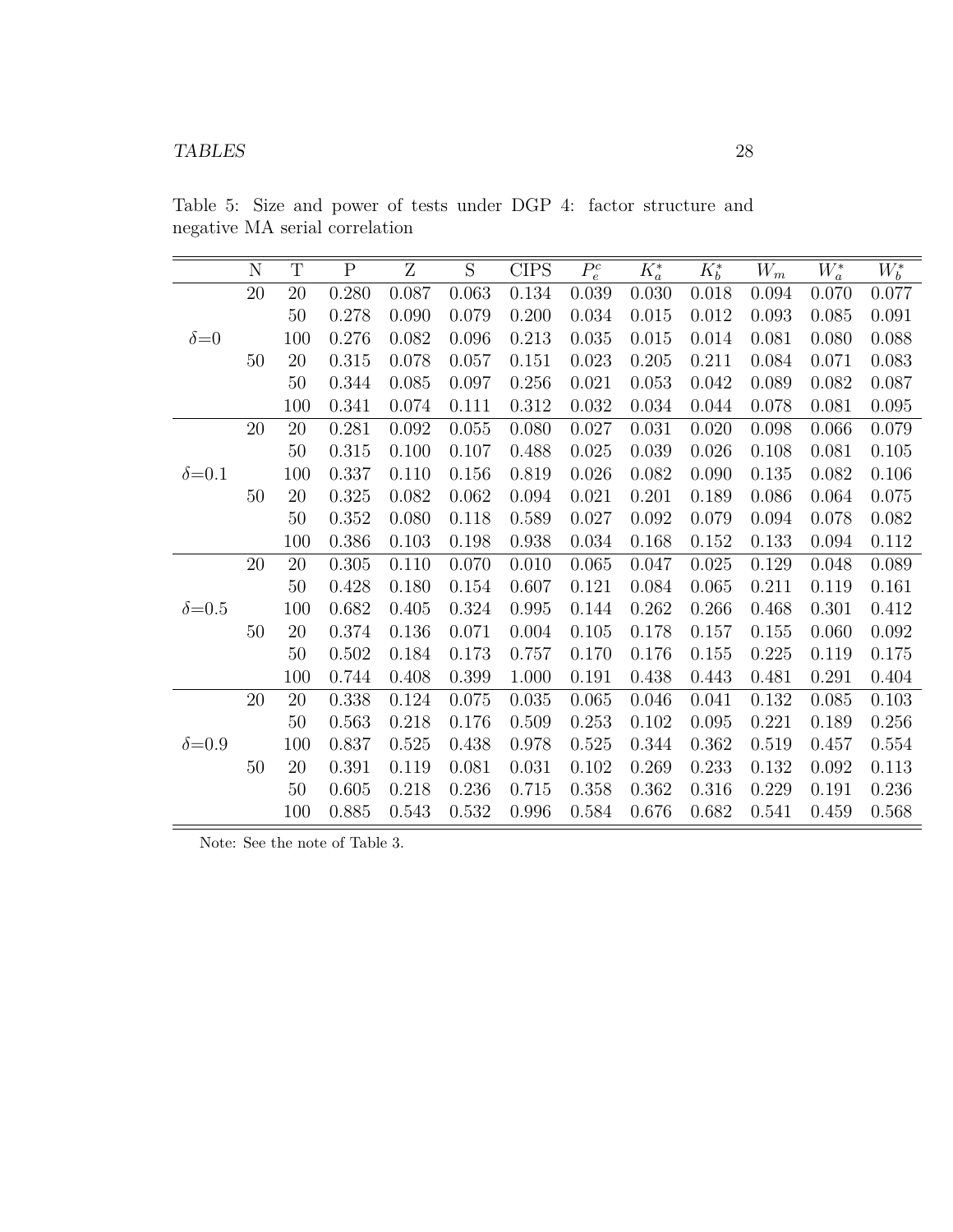|                | N         | T      | $\overline{P}$ | Z     | $\overline{S}$ | <b>CIPS</b> | $P_e^c$ | $\overline{K^*_a}$ | $K_b^*$ | $W_m$ | $\overline{W_a^*}$ | $\overline{W_b^*}$ |
|----------------|-----------|--------|----------------|-------|----------------|-------------|---------|--------------------|---------|-------|--------------------|--------------------|
|                | $20\,$    | 20     | 0.280          | 0.087 | 0.063          | 0.134       | 0.039   | 0.030              | 0.018   | 0.094 | 0.070              | 0.077              |
|                |           | 50     | 0.278          | 0.090 | 0.079          | 0.200       | 0.034   | 0.015              | 0.012   | 0.093 | 0.085              | 0.091              |
| $\delta = 0$   |           | 100    | 0.276          | 0.082 | 0.096          | 0.213       | 0.035   | 0.015              | 0.014   | 0.081 | 0.080              | 0.088              |
|                | 50        | 20     | 0.315          | 0.078 | 0.057          | 0.151       | 0.023   | 0.205              | 0.211   | 0.084 | 0.071              | 0.083              |
|                |           | $50\,$ | 0.344          | 0.085 | 0.097          | 0.256       | 0.021   | 0.053              | 0.042   | 0.089 | 0.082              | 0.087              |
|                |           | 100    | 0.341          | 0.074 | 0.111          | 0.312       | 0.032   | 0.034              | 0.044   | 0.078 | 0.081              | 0.095              |
|                | $20\,$    | 20     | 0.281          | 0.092 | 0.055          | 0.080       | 0.027   | 0.031              | 0.020   | 0.098 | 0.066              | 0.079              |
|                |           | 50     | 0.315          | 0.100 | 0.107          | 0.488       | 0.025   | 0.039              | 0.026   | 0.108 | 0.081              | 0.105              |
| $\delta = 0.1$ |           | 100    | 0.337          | 0.110 | 0.156          | 0.819       | 0.026   | 0.082              | 0.090   | 0.135 | 0.082              | 0.106              |
|                | 50        | 20     | 0.325          | 0.082 | 0.062          | 0.094       | 0.021   | 0.201              | 0.189   | 0.086 | 0.064              | 0.075              |
|                |           | 50     | 0.352          | 0.080 | 0.118          | 0.589       | 0.027   | 0.092              | 0.079   | 0.094 | 0.078              | 0.082              |
|                |           | 100    | 0.386          | 0.103 | 0.198          | 0.938       | 0.034   | 0.168              | 0.152   | 0.133 | 0.094              | 0.112              |
|                | <b>20</b> | 20     | 0.305          | 0.110 | 0.070          | 0.010       | 0.065   | 0.047              | 0.025   | 0.129 | 0.048              | 0.089              |
|                |           | 50     | 0.428          | 0.180 | 0.154          | 0.607       | 0.121   | 0.084              | 0.065   | 0.211 | 0.119              | 0.161              |
| $\delta = 0.5$ |           | 100    | 0.682          | 0.405 | 0.324          | 0.995       | 0.144   | 0.262              | 0.266   | 0.468 | 0.301              | 0.412              |
|                | 50        | 20     | 0.374          | 0.136 | 0.071          | 0.004       | 0.105   | 0.178              | 0.157   | 0.155 | 0.060              | 0.092              |
|                |           | $50\,$ | 0.502          | 0.184 | 0.173          | 0.757       | 0.170   | 0.176              | 0.155   | 0.225 | 0.119              | 0.175              |
|                |           | 100    | 0.744          | 0.408 | 0.399          | 1.000       | 0.191   | 0.438              | 0.443   | 0.481 | 0.291              | 0.404              |
|                | 20        | 20     | 0.338          | 0.124 | 0.075          | 0.035       | 0.065   | 0.046              | 0.041   | 0.132 | 0.085              | 0.103              |
|                |           | 50     | 0.563          | 0.218 | 0.176          | 0.509       | 0.253   | 0.102              | 0.095   | 0.221 | 0.189              | 0.256              |
| $\delta = 0.9$ |           | 100    | 0.837          | 0.525 | 0.438          | 0.978       | 0.525   | 0.344              | 0.362   | 0.519 | 0.457              | 0.554              |
|                | 50        | 20     | 0.391          | 0.119 | 0.081          | 0.031       | 0.102   | 0.269              | 0.233   | 0.132 | 0.092              | 0.113              |
|                |           | 50     | 0.605          | 0.218 | 0.236          | 0.715       | 0.358   | 0.362              | 0.316   | 0.229 | 0.191              | 0.236              |
|                |           | 100    | 0.885          | 0.543 | 0.532          | 0.996       | 0.584   | 0.676              | 0.682   | 0.541 | 0.459              | 0.568              |

Table 5: Size and power of tests under DGP 4: factor structure and negative MA serial correlation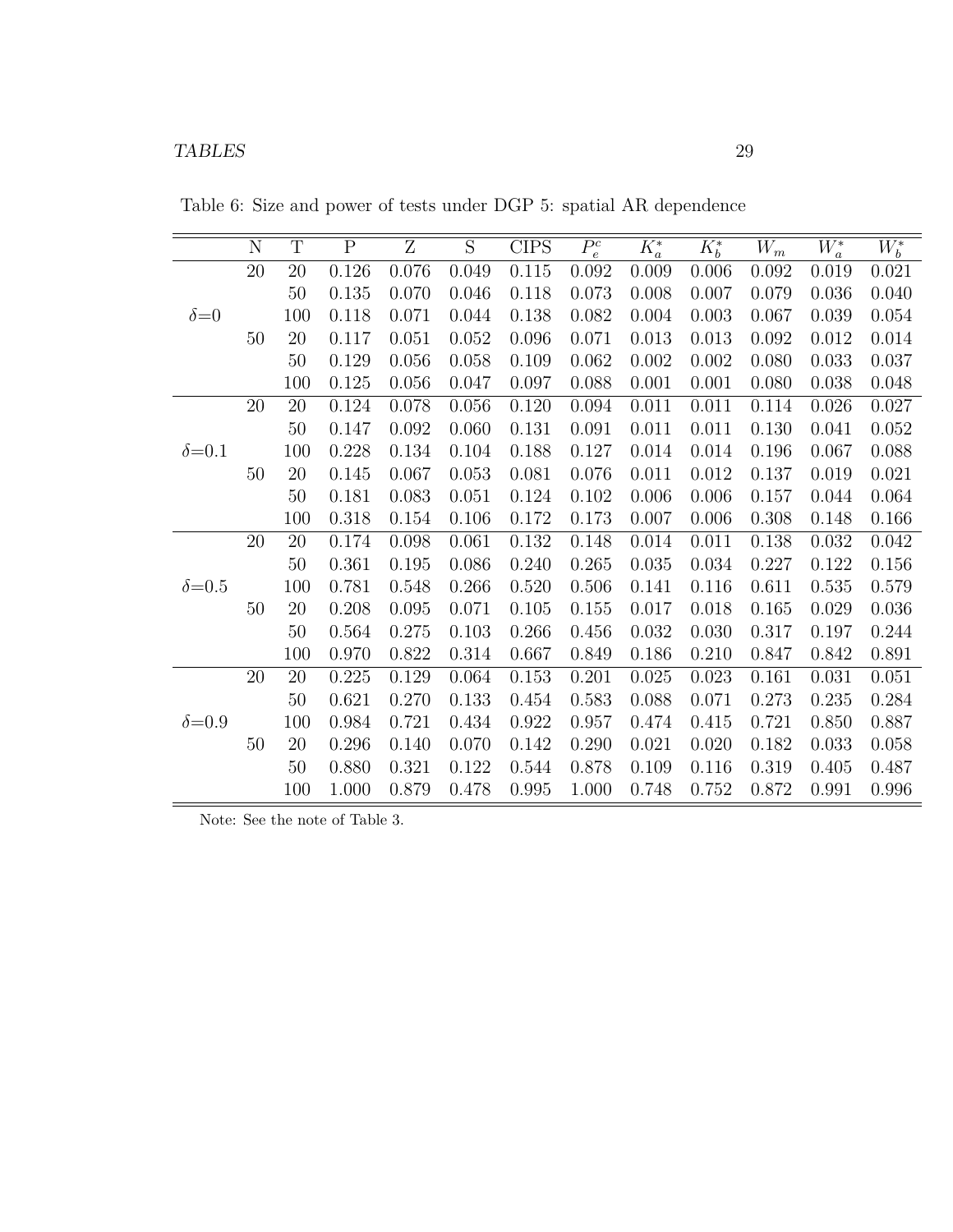Table 6: Size and power of tests under DGP 5: spatial AR dependence

|                | $\mathbf N$ | T      | ${\bf P}$ | Z     | S     | <b>CIPS</b> | $\overline{P_e^c}$ | $K^*_a$ | $K_b^*$ | $W_m$ | $W^{\ast}_{{\boldsymbol{a}}}$ | $W_b^*$ |
|----------------|-------------|--------|-----------|-------|-------|-------------|--------------------|---------|---------|-------|-------------------------------|---------|
|                | $20\,$      | 20     | 0.126     | 0.076 | 0.049 | 0.115       | 0.092              | 0.009   | 0.006   | 0.092 | 0.019                         | 0.021   |
|                |             | 50     | 0.135     | 0.070 | 0.046 | 0.118       | 0.073              | 0.008   | 0.007   | 0.079 | 0.036                         | 0.040   |
| $\delta = 0$   |             | 100    | 0.118     | 0.071 | 0.044 | 0.138       | 0.082              | 0.004   | 0.003   | 0.067 | 0.039                         | 0.054   |
|                | 50          | $20\,$ | 0.117     | 0.051 | 0.052 | 0.096       | 0.071              | 0.013   | 0.013   | 0.092 | 0.012                         | 0.014   |
|                |             | 50     | 0.129     | 0.056 | 0.058 | 0.109       | 0.062              | 0.002   | 0.002   | 0.080 | 0.033                         | 0.037   |
|                |             | 100    | 0.125     | 0.056 | 0.047 | 0.097       | 0.088              | 0.001   | 0.001   | 0.080 | 0.038                         | 0.048   |
|                | 20          | 20     | 0.124     | 0.078 | 0.056 | 0.120       | 0.094              | 0.011   | 0.011   | 0.114 | 0.026                         | 0.027   |
|                |             | 50     | 0.147     | 0.092 | 0.060 | 0.131       | 0.091              | 0.011   | 0.011   | 0.130 | 0.041                         | 0.052   |
| $\delta = 0.1$ |             | 100    | 0.228     | 0.134 | 0.104 | 0.188       | 0.127              | 0.014   | 0.014   | 0.196 | 0.067                         | 0.088   |
|                | 50          | 20     | 0.145     | 0.067 | 0.053 | 0.081       | 0.076              | 0.011   | 0.012   | 0.137 | 0.019                         | 0.021   |
|                |             | 50     | 0.181     | 0.083 | 0.051 | 0.124       | 0.102              | 0.006   | 0.006   | 0.157 | 0.044                         | 0.064   |
|                |             | 100    | 0.318     | 0.154 | 0.106 | 0.172       | 0.173              | 0.007   | 0.006   | 0.308 | 0.148                         | 0.166   |
|                | 20          | 20     | 0.174     | 0.098 | 0.061 | 0.132       | 0.148              | 0.014   | 0.011   | 0.138 | 0.032                         | 0.042   |
|                |             | 50     | 0.361     | 0.195 | 0.086 | 0.240       | 0.265              | 0.035   | 0.034   | 0.227 | 0.122                         | 0.156   |
| $\delta = 0.5$ |             | 100    | 0.781     | 0.548 | 0.266 | 0.520       | 0.506              | 0.141   | 0.116   | 0.611 | 0.535                         | 0.579   |
|                | 50          | 20     | 0.208     | 0.095 | 0.071 | 0.105       | 0.155              | 0.017   | 0.018   | 0.165 | 0.029                         | 0.036   |
|                |             | 50     | 0.564     | 0.275 | 0.103 | 0.266       | 0.456              | 0.032   | 0.030   | 0.317 | 0.197                         | 0.244   |
|                |             | 100    | 0.970     | 0.822 | 0.314 | 0.667       | 0.849              | 0.186   | 0.210   | 0.847 | 0.842                         | 0.891   |
|                | $20\,$      | 20     | 0.225     | 0.129 | 0.064 | 0.153       | 0.201              | 0.025   | 0.023   | 0.161 | 0.031                         | 0.051   |
|                |             | 50     | 0.621     | 0.270 | 0.133 | 0.454       | 0.583              | 0.088   | 0.071   | 0.273 | 0.235                         | 0.284   |
| $\delta = 0.9$ |             | 100    | 0.984     | 0.721 | 0.434 | 0.922       | 0.957              | 0.474   | 0.415   | 0.721 | 0.850                         | 0.887   |
|                | 50          | 20     | $0.296\,$ | 0.140 | 0.070 | 0.142       | 0.290              | 0.021   | 0.020   | 0.182 | 0.033                         | 0.058   |
|                |             | $50\,$ | 0.880     | 0.321 | 0.122 | 0.544       | 0.878              | 0.109   | 0.116   | 0.319 | 0.405                         | 0.487   |
|                |             | 100    | 1.000     | 0.879 | 0.478 | 0.995       | 1.000              | 0.748   | 0.752   | 0.872 | 0.991                         | 0.996   |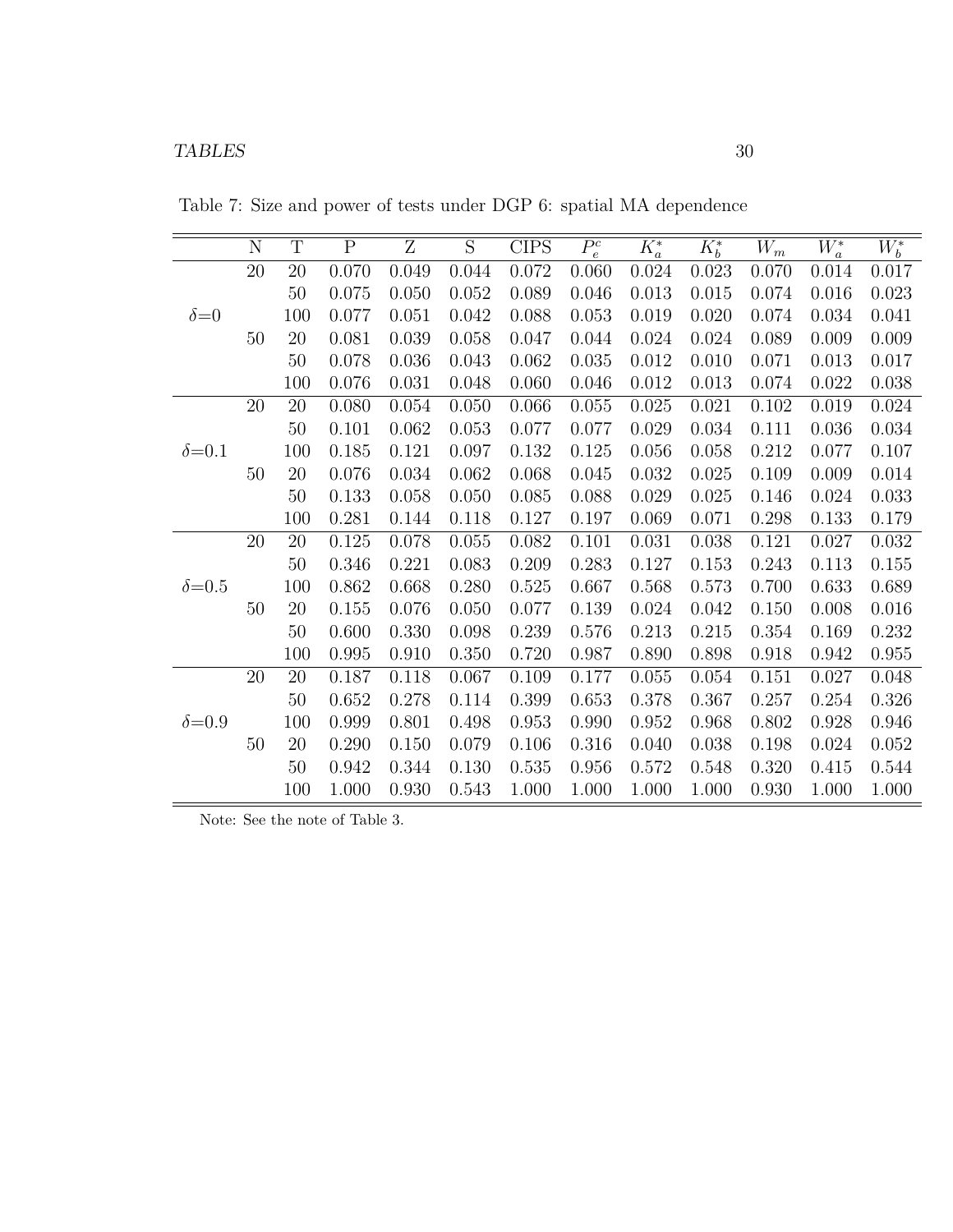|                | $\mathbf N$ | $\mathbf T$ | ${\bf P}$ | Z     | S     | <b>CIPS</b> | $P_e^c$ | $K^*_a$ | $K_b^*$ | $W_m$ | $W_a^*$ | $W_b^*$ |
|----------------|-------------|-------------|-----------|-------|-------|-------------|---------|---------|---------|-------|---------|---------|
|                | $20\,$      | 20          | 0.070     | 0.049 | 0.044 | 0.072       | 0.060   | 0.024   | 0.023   | 0.070 | 0.014   | 0.017   |
|                |             | 50          | 0.075     | 0.050 | 0.052 | 0.089       | 0.046   | 0.013   | 0.015   | 0.074 | 0.016   | 0.023   |
| $\delta = 0$   |             | 100         | 0.077     | 0.051 | 0.042 | 0.088       | 0.053   | 0.019   | 0.020   | 0.074 | 0.034   | 0.041   |
|                | 50          | 20          | 0.081     | 0.039 | 0.058 | 0.047       | 0.044   | 0.024   | 0.024   | 0.089 | 0.009   | 0.009   |
|                |             | 50          | 0.078     | 0.036 | 0.043 | 0.062       | 0.035   | 0.012   | 0.010   | 0.071 | 0.013   | 0.017   |
|                |             | 100         | 0.076     | 0.031 | 0.048 | 0.060       | 0.046   | 0.012   | 0.013   | 0.074 | 0.022   | 0.038   |
|                | 20          | 20          | 0.080     | 0.054 | 0.050 | 0.066       | 0.055   | 0.025   | 0.021   | 0.102 | 0.019   | 0.024   |
|                |             | 50          | 0.101     | 0.062 | 0.053 | 0.077       | 0.077   | 0.029   | 0.034   | 0.111 | 0.036   | 0.034   |
| $\delta = 0.1$ |             | 100         | 0.185     | 0.121 | 0.097 | 0.132       | 0.125   | 0.056   | 0.058   | 0.212 | 0.077   | 0.107   |
|                | 50          | 20          | 0.076     | 0.034 | 0.062 | 0.068       | 0.045   | 0.032   | 0.025   | 0.109 | 0.009   | 0.014   |
|                |             | 50          | 0.133     | 0.058 | 0.050 | 0.085       | 0.088   | 0.029   | 0.025   | 0.146 | 0.024   | 0.033   |
|                |             | 100         | 0.281     | 0.144 | 0.118 | 0.127       | 0.197   | 0.069   | 0.071   | 0.298 | 0.133   | 0.179   |
|                | $20\,$      | 20          | 0.125     | 0.078 | 0.055 | 0.082       | 0.101   | 0.031   | 0.038   | 0.121 | 0.027   | 0.032   |
|                |             | 50          | 0.346     | 0.221 | 0.083 | 0.209       | 0.283   | 0.127   | 0.153   | 0.243 | 0.113   | 0.155   |
| $\delta = 0.5$ |             | 100         | 0.862     | 0.668 | 0.280 | 0.525       | 0.667   | 0.568   | 0.573   | 0.700 | 0.633   | 0.689   |
|                | 50          | 20          | 0.155     | 0.076 | 0.050 | 0.077       | 0.139   | 0.024   | 0.042   | 0.150 | 0.008   | 0.016   |
|                |             | 50          | 0.600     | 0.330 | 0.098 | 0.239       | 0.576   | 0.213   | 0.215   | 0.354 | 0.169   | 0.232   |
|                |             | 100         | 0.995     | 0.910 | 0.350 | 0.720       | 0.987   | 0.890   | 0.898   | 0.918 | 0.942   | 0.955   |
|                | $20\,$      | 20          | 0.187     | 0.118 | 0.067 | 0.109       | 0.177   | 0.055   | 0.054   | 0.151 | 0.027   | 0.048   |
|                |             | 50          | 0.652     | 0.278 | 0.114 | 0.399       | 0.653   | 0.378   | 0.367   | 0.257 | 0.254   | 0.326   |
| $\delta = 0.9$ |             | 100         | 0.999     | 0.801 | 0.498 | 0.953       | 0.990   | 0.952   | 0.968   | 0.802 | 0.928   | 0.946   |
|                | 50          | 20          | 0.290     | 0.150 | 0.079 | 0.106       | 0.316   | 0.040   | 0.038   | 0.198 | 0.024   | 0.052   |
|                |             | 50          | 0.942     | 0.344 | 0.130 | 0.535       | 0.956   | 0.572   | 0.548   | 0.320 | 0.415   | 0.544   |
|                |             | 100         | 1.000     | 0.930 | 0.543 | 1.000       | 1.000   | 1.000   | 1.000   | 0.930 | 1.000   | 1.000   |

Table 7: Size and power of tests under DGP 6: spatial MA dependence